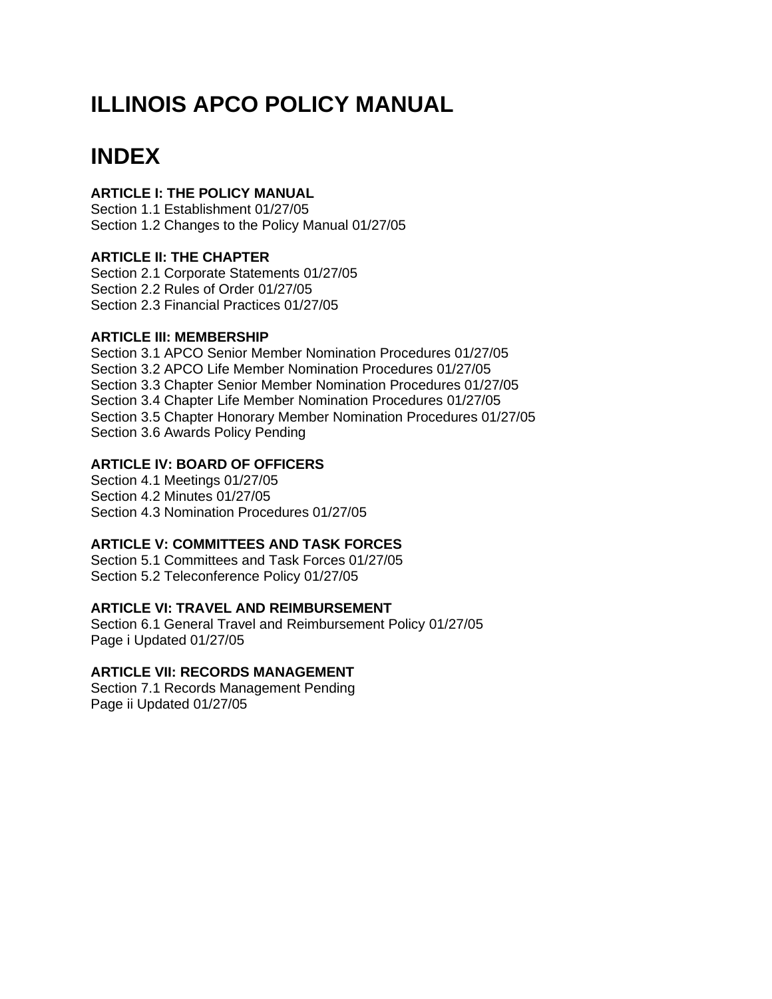# **ILLINOIS APCO POLICY MANUAL**

# **INDEX**

# **ARTICLE I: THE POLICY MANUAL**

Section 1.1 Establishment 01/27/05 Section 1.2 Changes to the Policy Manual 01/27/05

# **ARTICLE II: THE CHAPTER**

Section 2.1 Corporate Statements 01/27/05 Section 2.2 Rules of Order 01/27/05 Section 2.3 Financial Practices 01/27/05

## **ARTICLE III: MEMBERSHIP**

Section 3.1 APCO Senior Member Nomination Procedures 01/27/05 Section 3.2 APCO Life Member Nomination Procedures 01/27/05 Section 3.3 Chapter Senior Member Nomination Procedures 01/27/05 Section 3.4 Chapter Life Member Nomination Procedures 01/27/05 Section 3.5 Chapter Honorary Member Nomination Procedures 01/27/05 Section 3.6 Awards Policy Pending

# **ARTICLE IV: BOARD OF OFFICERS**

Section 4.1 Meetings 01/27/05 Section 4.2 Minutes 01/27/05 Section 4.3 Nomination Procedures 01/27/05

# **ARTICLE V: COMMITTEES AND TASK FORCES**

Section 5.1 Committees and Task Forces 01/27/05 Section 5.2 Teleconference Policy 01/27/05

# **ARTICLE VI: TRAVEL AND REIMBURSEMENT**

Section 6.1 General Travel and Reimbursement Policy 01/27/05 Page i Updated 01/27/05

# **ARTICLE VII: RECORDS MANAGEMENT**

Section 7.1 Records Management Pending Page ii Updated 01/27/05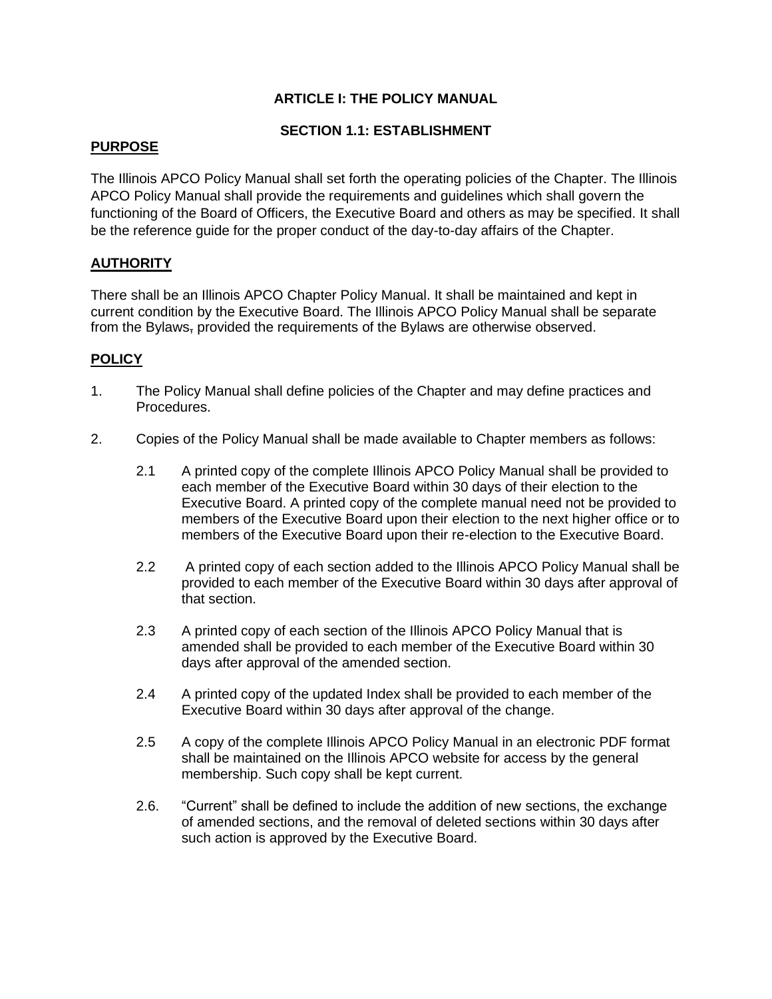# **ARTICLE I: THE POLICY MANUAL**

#### **SECTION 1.1: ESTABLISHMENT**

#### **PURPOSE**

The Illinois APCO Policy Manual shall set forth the operating policies of the Chapter. The Illinois APCO Policy Manual shall provide the requirements and guidelines which shall govern the functioning of the Board of Officers, the Executive Board and others as may be specified. It shall be the reference guide for the proper conduct of the day-to-day affairs of the Chapter.

#### **AUTHORITY**

There shall be an Illinois APCO Chapter Policy Manual. It shall be maintained and kept in current condition by the Executive Board. The Illinois APCO Policy Manual shall be separate from the Bylaws, provided the requirements of the Bylaws are otherwise observed.

- 1. The Policy Manual shall define policies of the Chapter and may define practices and Procedures.
- 2. Copies of the Policy Manual shall be made available to Chapter members as follows:
	- 2.1 A printed copy of the complete Illinois APCO Policy Manual shall be provided to each member of the Executive Board within 30 days of their election to the Executive Board. A printed copy of the complete manual need not be provided to members of the Executive Board upon their election to the next higher office or to members of the Executive Board upon their re-election to the Executive Board.
	- 2.2 A printed copy of each section added to the Illinois APCO Policy Manual shall be provided to each member of the Executive Board within 30 days after approval of that section.
	- 2.3 A printed copy of each section of the Illinois APCO Policy Manual that is amended shall be provided to each member of the Executive Board within 30 days after approval of the amended section.
	- 2.4 A printed copy of the updated Index shall be provided to each member of the Executive Board within 30 days after approval of the change.
	- 2.5 A copy of the complete Illinois APCO Policy Manual in an electronic PDF format shall be maintained on the Illinois APCO website for access by the general membership. Such copy shall be kept current.
	- 2.6. "Current" shall be defined to include the addition of new sections, the exchange of amended sections, and the removal of deleted sections within 30 days after such action is approved by the Executive Board.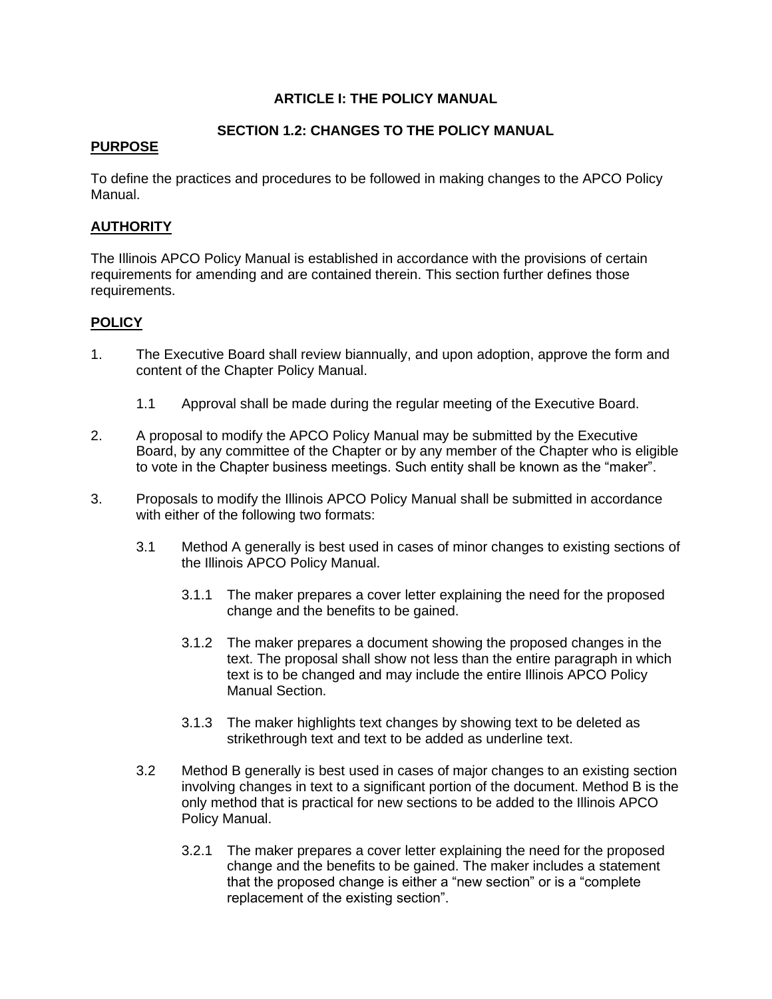#### **ARTICLE I: THE POLICY MANUAL**

#### **SECTION 1.2: CHANGES TO THE POLICY MANUAL**

#### **PURPOSE**

To define the practices and procedures to be followed in making changes to the APCO Policy Manual.

#### **AUTHORITY**

The Illinois APCO Policy Manual is established in accordance with the provisions of certain requirements for amending and are contained therein. This section further defines those requirements.

- 1. The Executive Board shall review biannually, and upon adoption, approve the form and content of the Chapter Policy Manual.
	- 1.1 Approval shall be made during the regular meeting of the Executive Board.
- 2. A proposal to modify the APCO Policy Manual may be submitted by the Executive Board, by any committee of the Chapter or by any member of the Chapter who is eligible to vote in the Chapter business meetings. Such entity shall be known as the "maker".
- 3. Proposals to modify the Illinois APCO Policy Manual shall be submitted in accordance with either of the following two formats:
	- 3.1 Method A generally is best used in cases of minor changes to existing sections of the Illinois APCO Policy Manual.
		- 3.1.1 The maker prepares a cover letter explaining the need for the proposed change and the benefits to be gained.
		- 3.1.2 The maker prepares a document showing the proposed changes in the text. The proposal shall show not less than the entire paragraph in which text is to be changed and may include the entire Illinois APCO Policy Manual Section.
		- 3.1.3 The maker highlights text changes by showing text to be deleted as strikethrough text and text to be added as underline text.
	- 3.2 Method B generally is best used in cases of major changes to an existing section involving changes in text to a significant portion of the document. Method B is the only method that is practical for new sections to be added to the Illinois APCO Policy Manual.
		- 3.2.1 The maker prepares a cover letter explaining the need for the proposed change and the benefits to be gained. The maker includes a statement that the proposed change is either a "new section" or is a "complete replacement of the existing section".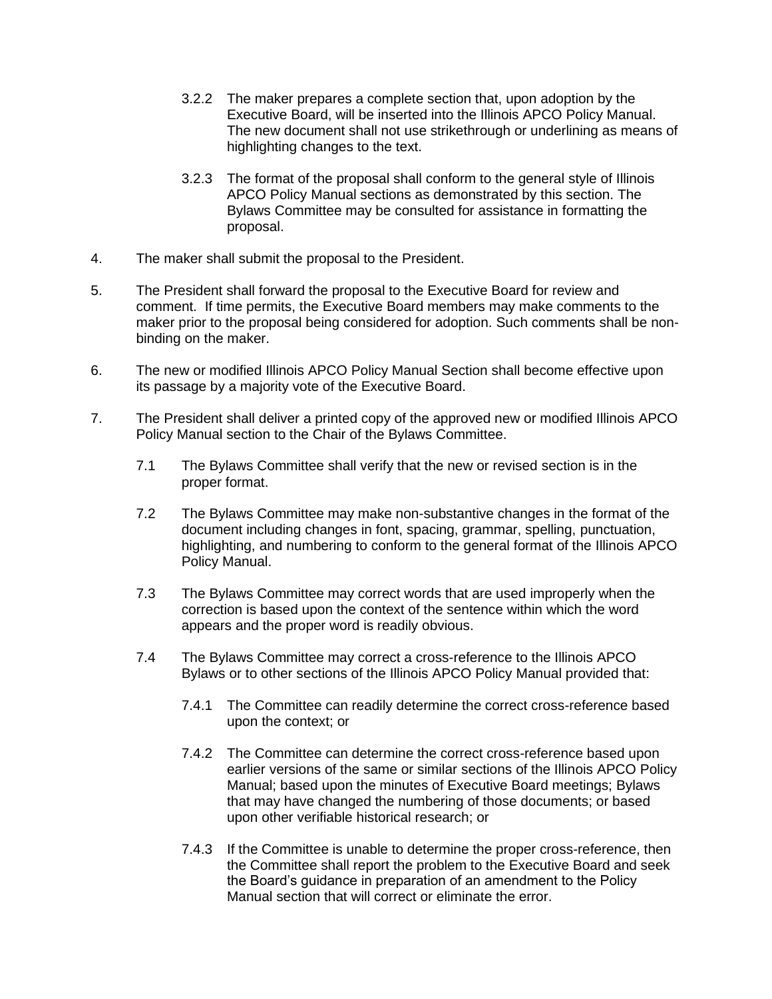- 3.2.2 The maker prepares a complete section that, upon adoption by the Executive Board, will be inserted into the Illinois APCO Policy Manual. The new document shall not use strikethrough or underlining as means of highlighting changes to the text.
- 3.2.3 The format of the proposal shall conform to the general style of Illinois APCO Policy Manual sections as demonstrated by this section. The Bylaws Committee may be consulted for assistance in formatting the proposal.
- 4. The maker shall submit the proposal to the President.
- 5. The President shall forward the proposal to the Executive Board for review and comment. If time permits, the Executive Board members may make comments to the maker prior to the proposal being considered for adoption. Such comments shall be nonbinding on the maker.
- 6. The new or modified Illinois APCO Policy Manual Section shall become effective upon its passage by a majority vote of the Executive Board.
- 7. The President shall deliver a printed copy of the approved new or modified Illinois APCO Policy Manual section to the Chair of the Bylaws Committee.
	- 7.1 The Bylaws Committee shall verify that the new or revised section is in the proper format.
	- 7.2 The Bylaws Committee may make non-substantive changes in the format of the document including changes in font, spacing, grammar, spelling, punctuation, highlighting, and numbering to conform to the general format of the Illinois APCO Policy Manual.
	- 7.3 The Bylaws Committee may correct words that are used improperly when the correction is based upon the context of the sentence within which the word appears and the proper word is readily obvious.
	- 7.4 The Bylaws Committee may correct a cross-reference to the Illinois APCO Bylaws or to other sections of the Illinois APCO Policy Manual provided that:
		- 7.4.1 The Committee can readily determine the correct cross-reference based upon the context; or
		- 7.4.2 The Committee can determine the correct cross-reference based upon earlier versions of the same or similar sections of the Illinois APCO Policy Manual; based upon the minutes of Executive Board meetings; Bylaws that may have changed the numbering of those documents; or based upon other verifiable historical research; or
		- 7.4.3 If the Committee is unable to determine the proper cross-reference, then the Committee shall report the problem to the Executive Board and seek the Board's guidance in preparation of an amendment to the Policy Manual section that will correct or eliminate the error.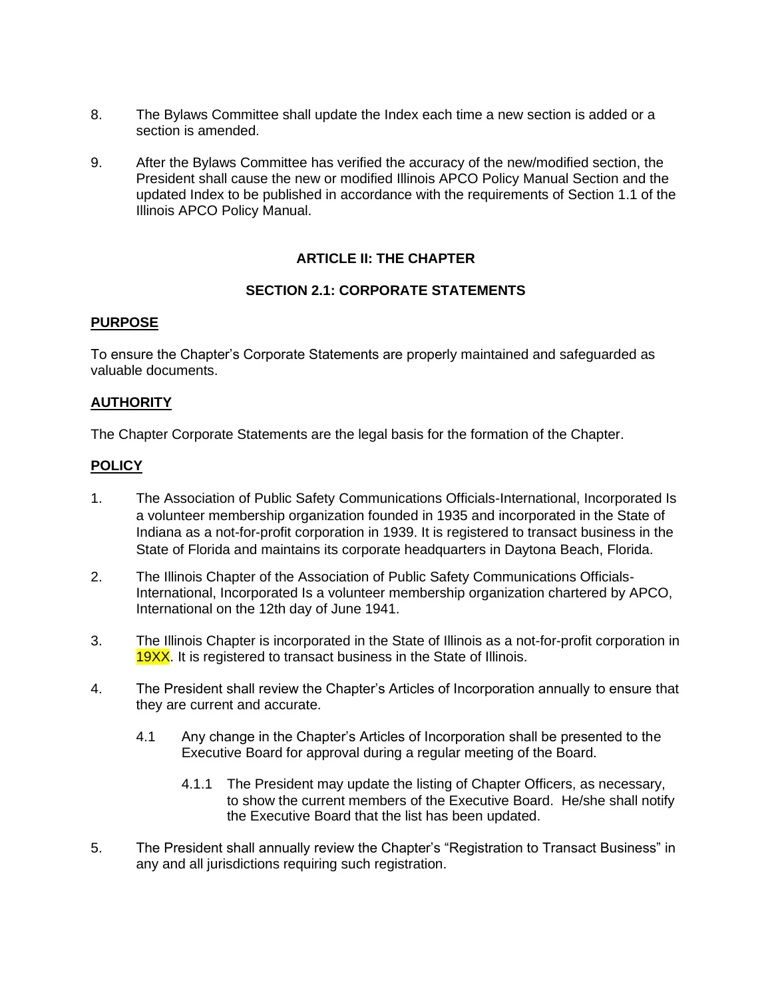- 8. The Bylaws Committee shall update the Index each time a new section is added or a section is amended.
- 9. After the Bylaws Committee has verified the accuracy of the new/modified section, the President shall cause the new or modified Illinois APCO Policy Manual Section and the updated Index to be published in accordance with the requirements of Section 1.1 of the Illinois APCO Policy Manual.

# **ARTICLE II: THE CHAPTER**

#### **SECTION 2.1: CORPORATE STATEMENTS**

#### **PURPOSE**

To ensure the Chapter's Corporate Statements are properly maintained and safeguarded as valuable documents.

## **AUTHORITY**

The Chapter Corporate Statements are the legal basis for the formation of the Chapter.

- 1. The Association of Public Safety Communications Officials-International, Incorporated Is a volunteer membership organization founded in 1935 and incorporated in the State of Indiana as a not-for-profit corporation in 1939. It is registered to transact business in the State of Florida and maintains its corporate headquarters in Daytona Beach, Florida.
- 2. The Illinois Chapter of the Association of Public Safety Communications Officials-International, Incorporated Is a volunteer membership organization chartered by APCO, International on the 12th day of June 1941.
- 3. The Illinois Chapter is incorporated in the State of Illinois as a not-for-profit corporation in **19XX**. It is registered to transact business in the State of Illinois.
- 4. The President shall review the Chapter's Articles of Incorporation annually to ensure that they are current and accurate.
	- 4.1 Any change in the Chapter's Articles of Incorporation shall be presented to the Executive Board for approval during a regular meeting of the Board.
		- 4.1.1 The President may update the listing of Chapter Officers, as necessary, to show the current members of the Executive Board. He/she shall notify the Executive Board that the list has been updated.
- 5. The President shall annually review the Chapter's "Registration to Transact Business" in any and all jurisdictions requiring such registration.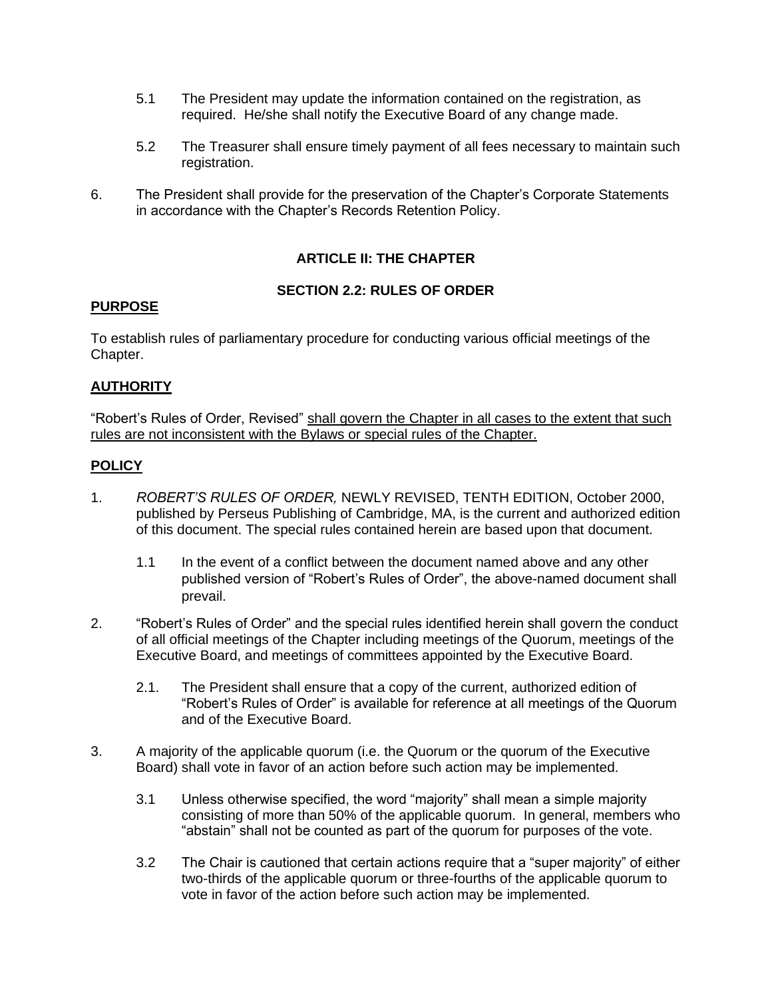- 5.1 The President may update the information contained on the registration, as required. He/she shall notify the Executive Board of any change made.
- 5.2 The Treasurer shall ensure timely payment of all fees necessary to maintain such registration.
- 6. The President shall provide for the preservation of the Chapter's Corporate Statements in accordance with the Chapter's Records Retention Policy.

# **ARTICLE II: THE CHAPTER**

#### **SECTION 2.2: RULES OF ORDER**

#### **PURPOSE**

To establish rules of parliamentary procedure for conducting various official meetings of the Chapter.

#### **AUTHORITY**

"Robert's Rules of Order, Revised" shall govern the Chapter in all cases to the extent that such rules are not inconsistent with the Bylaws or special rules of the Chapter.

- 1. *ROBERT'S RULES OF ORDER,* NEWLY REVISED, TENTH EDITION, October 2000, published by Perseus Publishing of Cambridge, MA, is the current and authorized edition of this document. The special rules contained herein are based upon that document.
	- 1.1 In the event of a conflict between the document named above and any other published version of "Robert's Rules of Order", the above-named document shall prevail.
- 2. "Robert's Rules of Order" and the special rules identified herein shall govern the conduct of all official meetings of the Chapter including meetings of the Quorum, meetings of the Executive Board, and meetings of committees appointed by the Executive Board.
	- 2.1. The President shall ensure that a copy of the current, authorized edition of "Robert's Rules of Order" is available for reference at all meetings of the Quorum and of the Executive Board.
- 3. A majority of the applicable quorum (i.e. the Quorum or the quorum of the Executive Board) shall vote in favor of an action before such action may be implemented.
	- 3.1 Unless otherwise specified, the word "majority" shall mean a simple majority consisting of more than 50% of the applicable quorum. In general, members who "abstain" shall not be counted as part of the quorum for purposes of the vote.
	- 3.2 The Chair is cautioned that certain actions require that a "super majority" of either two-thirds of the applicable quorum or three-fourths of the applicable quorum to vote in favor of the action before such action may be implemented.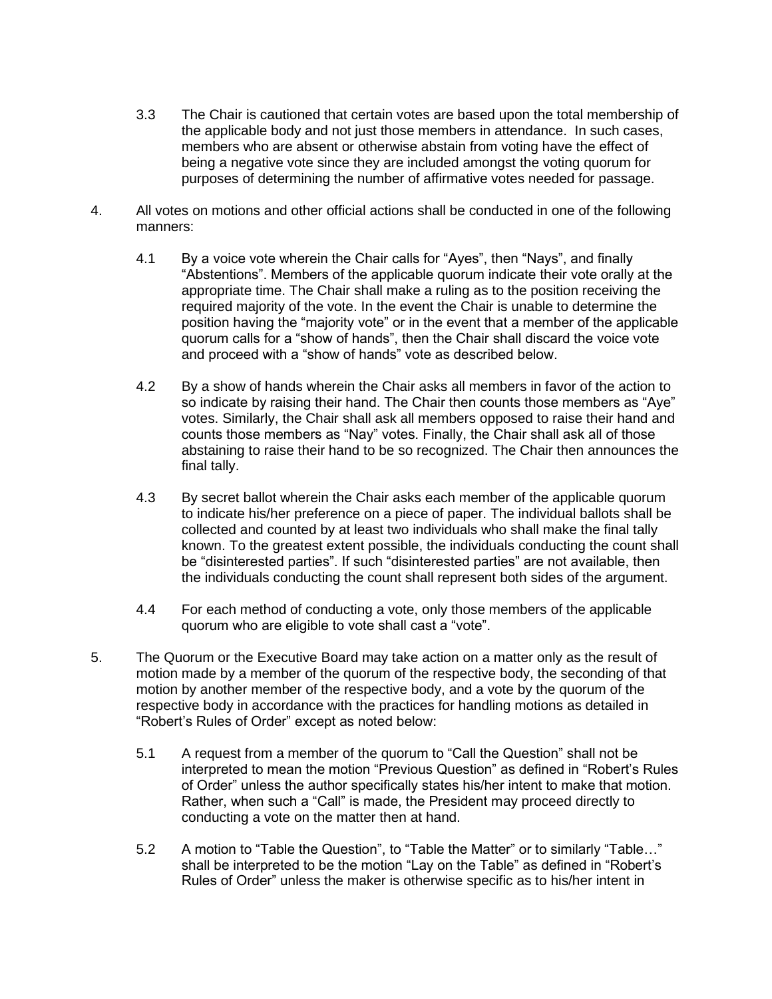- 3.3 The Chair is cautioned that certain votes are based upon the total membership of the applicable body and not just those members in attendance. In such cases, members who are absent or otherwise abstain from voting have the effect of being a negative vote since they are included amongst the voting quorum for purposes of determining the number of affirmative votes needed for passage.
- 4. All votes on motions and other official actions shall be conducted in one of the following manners:
	- 4.1 By a voice vote wherein the Chair calls for "Ayes", then "Nays", and finally "Abstentions". Members of the applicable quorum indicate their vote orally at the appropriate time. The Chair shall make a ruling as to the position receiving the required majority of the vote. In the event the Chair is unable to determine the position having the "majority vote" or in the event that a member of the applicable quorum calls for a "show of hands", then the Chair shall discard the voice vote and proceed with a "show of hands" vote as described below.
	- 4.2 By a show of hands wherein the Chair asks all members in favor of the action to so indicate by raising their hand. The Chair then counts those members as "Aye" votes. Similarly, the Chair shall ask all members opposed to raise their hand and counts those members as "Nay" votes. Finally, the Chair shall ask all of those abstaining to raise their hand to be so recognized. The Chair then announces the final tally.
	- 4.3 By secret ballot wherein the Chair asks each member of the applicable quorum to indicate his/her preference on a piece of paper. The individual ballots shall be collected and counted by at least two individuals who shall make the final tally known. To the greatest extent possible, the individuals conducting the count shall be "disinterested parties". If such "disinterested parties" are not available, then the individuals conducting the count shall represent both sides of the argument.
	- 4.4 For each method of conducting a vote, only those members of the applicable quorum who are eligible to vote shall cast a "vote".
- 5. The Quorum or the Executive Board may take action on a matter only as the result of motion made by a member of the quorum of the respective body, the seconding of that motion by another member of the respective body, and a vote by the quorum of the respective body in accordance with the practices for handling motions as detailed in "Robert's Rules of Order" except as noted below:
	- 5.1 A request from a member of the quorum to "Call the Question" shall not be interpreted to mean the motion "Previous Question" as defined in "Robert's Rules of Order" unless the author specifically states his/her intent to make that motion. Rather, when such a "Call" is made, the President may proceed directly to conducting a vote on the matter then at hand.
	- 5.2 A motion to "Table the Question", to "Table the Matter" or to similarly "Table…" shall be interpreted to be the motion "Lay on the Table" as defined in "Robert's Rules of Order" unless the maker is otherwise specific as to his/her intent in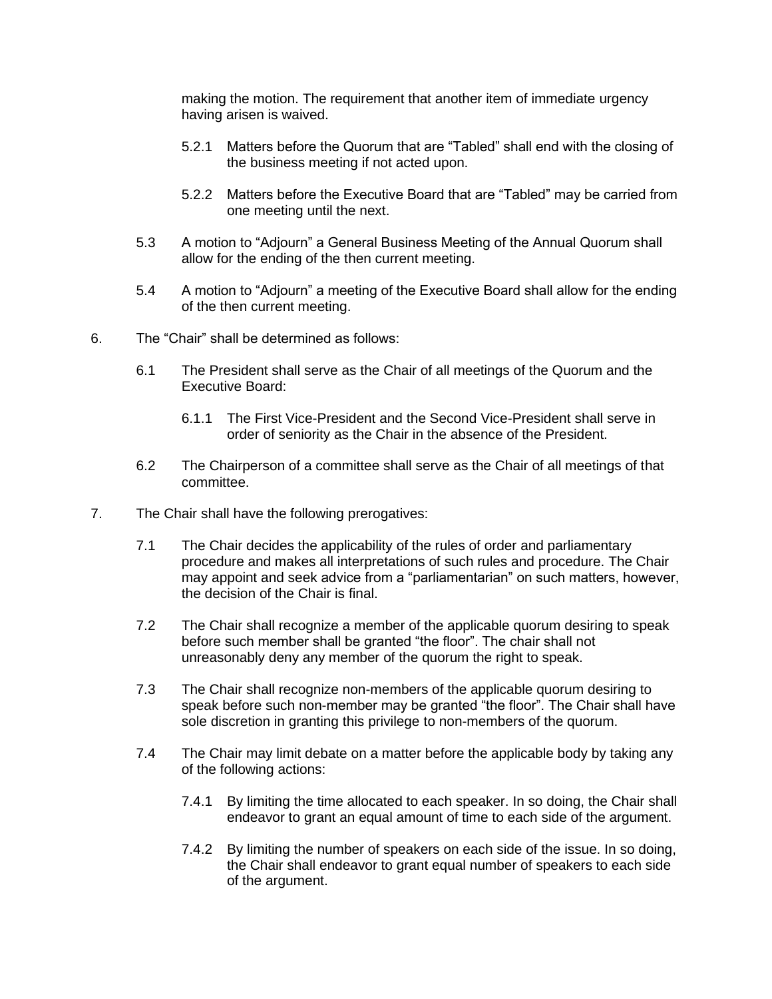making the motion. The requirement that another item of immediate urgency having arisen is waived.

- 5.2.1 Matters before the Quorum that are "Tabled" shall end with the closing of the business meeting if not acted upon.
- 5.2.2 Matters before the Executive Board that are "Tabled" may be carried from one meeting until the next.
- 5.3 A motion to "Adjourn" a General Business Meeting of the Annual Quorum shall allow for the ending of the then current meeting.
- 5.4 A motion to "Adjourn" a meeting of the Executive Board shall allow for the ending of the then current meeting.
- 6. The "Chair" shall be determined as follows:
	- 6.1 The President shall serve as the Chair of all meetings of the Quorum and the Executive Board:
		- 6.1.1 The First Vice-President and the Second Vice-President shall serve in order of seniority as the Chair in the absence of the President.
	- 6.2 The Chairperson of a committee shall serve as the Chair of all meetings of that committee.
- 7. The Chair shall have the following prerogatives:
	- 7.1 The Chair decides the applicability of the rules of order and parliamentary procedure and makes all interpretations of such rules and procedure. The Chair may appoint and seek advice from a "parliamentarian" on such matters, however, the decision of the Chair is final.
	- 7.2 The Chair shall recognize a member of the applicable quorum desiring to speak before such member shall be granted "the floor". The chair shall not unreasonably deny any member of the quorum the right to speak.
	- 7.3 The Chair shall recognize non-members of the applicable quorum desiring to speak before such non-member may be granted "the floor". The Chair shall have sole discretion in granting this privilege to non-members of the quorum.
	- 7.4 The Chair may limit debate on a matter before the applicable body by taking any of the following actions:
		- 7.4.1 By limiting the time allocated to each speaker. In so doing, the Chair shall endeavor to grant an equal amount of time to each side of the argument.
		- 7.4.2 By limiting the number of speakers on each side of the issue. In so doing, the Chair shall endeavor to grant equal number of speakers to each side of the argument.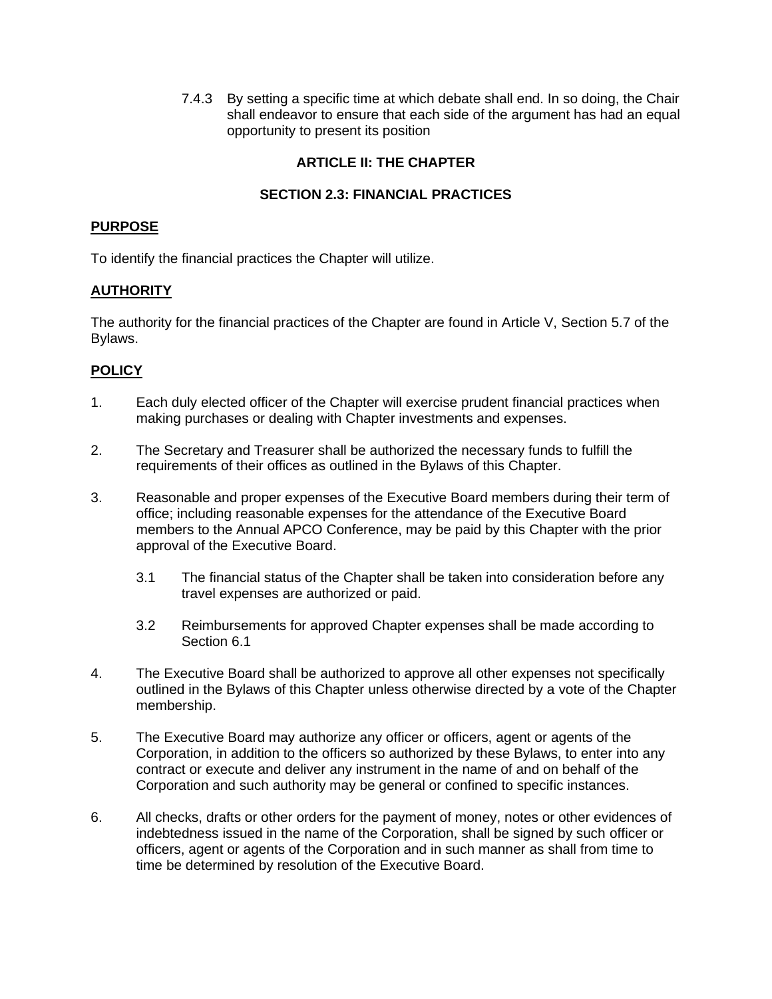7.4.3 By setting a specific time at which debate shall end. In so doing, the Chair shall endeavor to ensure that each side of the argument has had an equal opportunity to present its position

## **ARTICLE II: THE CHAPTER**

# **SECTION 2.3: FINANCIAL PRACTICES**

#### **PURPOSE**

To identify the financial practices the Chapter will utilize.

#### **AUTHORITY**

The authority for the financial practices of the Chapter are found in Article V, Section 5.7 of the Bylaws.

- 1. Each duly elected officer of the Chapter will exercise prudent financial practices when making purchases or dealing with Chapter investments and expenses.
- 2. The Secretary and Treasurer shall be authorized the necessary funds to fulfill the requirements of their offices as outlined in the Bylaws of this Chapter.
- 3. Reasonable and proper expenses of the Executive Board members during their term of office; including reasonable expenses for the attendance of the Executive Board members to the Annual APCO Conference, may be paid by this Chapter with the prior approval of the Executive Board.
	- 3.1 The financial status of the Chapter shall be taken into consideration before any travel expenses are authorized or paid.
	- 3.2 Reimbursements for approved Chapter expenses shall be made according to Section 6.1
- 4. The Executive Board shall be authorized to approve all other expenses not specifically outlined in the Bylaws of this Chapter unless otherwise directed by a vote of the Chapter membership.
- 5. The Executive Board may authorize any officer or officers, agent or agents of the Corporation, in addition to the officers so authorized by these Bylaws, to enter into any contract or execute and deliver any instrument in the name of and on behalf of the Corporation and such authority may be general or confined to specific instances.
- 6. All checks, drafts or other orders for the payment of money, notes or other evidences of indebtedness issued in the name of the Corporation, shall be signed by such officer or officers, agent or agents of the Corporation and in such manner as shall from time to time be determined by resolution of the Executive Board.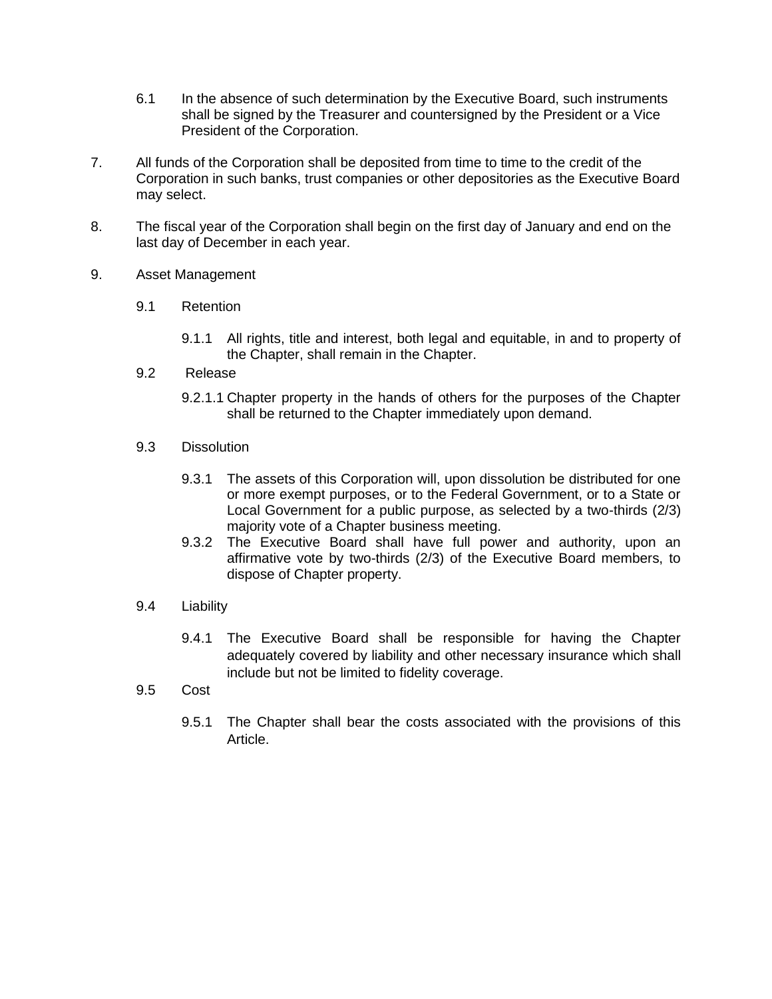- 6.1 In the absence of such determination by the Executive Board, such instruments shall be signed by the Treasurer and countersigned by the President or a Vice President of the Corporation.
- 7. All funds of the Corporation shall be deposited from time to time to the credit of the Corporation in such banks, trust companies or other depositories as the Executive Board may select.
- 8. The fiscal year of the Corporation shall begin on the first day of January and end on the last day of December in each year.
- 9. Asset Management
	- 9.1 Retention
		- 9.1.1 All rights, title and interest, both legal and equitable, in and to property of the Chapter, shall remain in the Chapter.
	- 9.2 Release
		- 9.2.1.1 Chapter property in the hands of others for the purposes of the Chapter shall be returned to the Chapter immediately upon demand.
	- 9.3 Dissolution
		- 9.3.1 The assets of this Corporation will, upon dissolution be distributed for one or more exempt purposes, or to the Federal Government, or to a State or Local Government for a public purpose, as selected by a two-thirds (2/3) majority vote of a Chapter business meeting.
		- 9.3.2 The Executive Board shall have full power and authority, upon an affirmative vote by two-thirds (2/3) of the Executive Board members, to dispose of Chapter property.
	- 9.4 Liability
		- 9.4.1 The Executive Board shall be responsible for having the Chapter adequately covered by liability and other necessary insurance which shall include but not be limited to fidelity coverage.
	- 9.5 Cost
		- 9.5.1 The Chapter shall bear the costs associated with the provisions of this Article.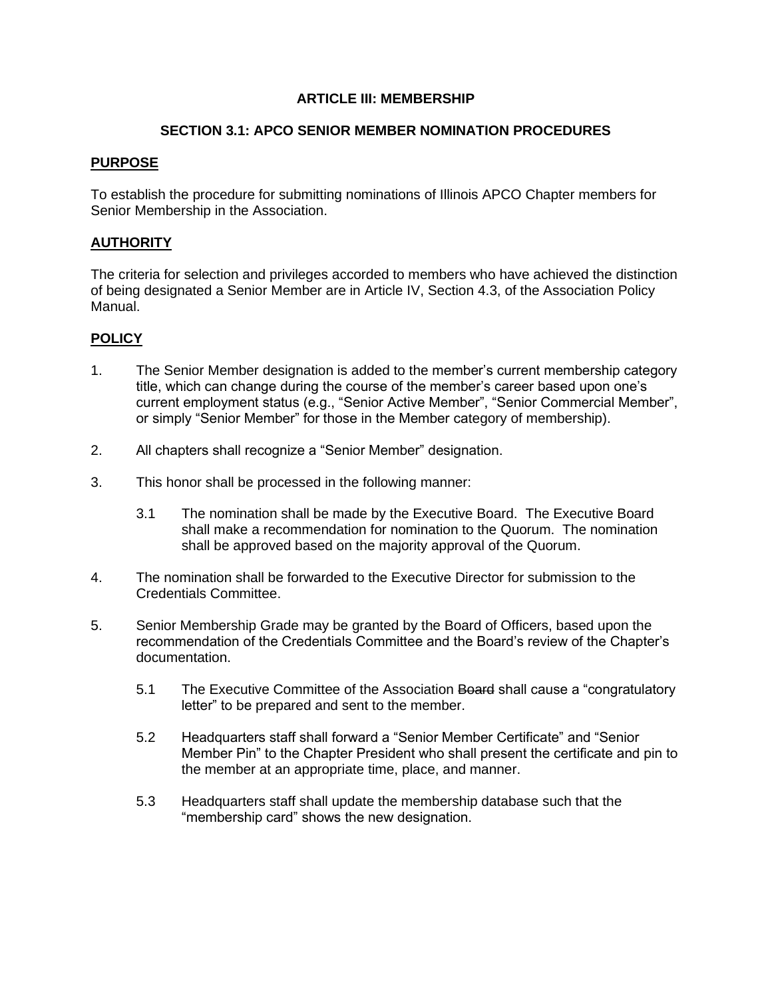#### **SECTION 3.1: APCO SENIOR MEMBER NOMINATION PROCEDURES**

#### **PURPOSE**

To establish the procedure for submitting nominations of Illinois APCO Chapter members for Senior Membership in the Association.

#### **AUTHORITY**

The criteria for selection and privileges accorded to members who have achieved the distinction of being designated a Senior Member are in Article IV, Section 4.3, of the Association Policy Manual.

- 1. The Senior Member designation is added to the member's current membership category title, which can change during the course of the member's career based upon one's current employment status (e.g., "Senior Active Member", "Senior Commercial Member", or simply "Senior Member" for those in the Member category of membership).
- 2. All chapters shall recognize a "Senior Member" designation.
- 3. This honor shall be processed in the following manner:
	- 3.1 The nomination shall be made by the Executive Board. The Executive Board shall make a recommendation for nomination to the Quorum. The nomination shall be approved based on the majority approval of the Quorum.
- 4. The nomination shall be forwarded to the Executive Director for submission to the Credentials Committee.
- 5. Senior Membership Grade may be granted by the Board of Officers, based upon the recommendation of the Credentials Committee and the Board's review of the Chapter's documentation.
	- 5.1 The Executive Committee of the Association Board shall cause a "congratulatory" letter" to be prepared and sent to the member.
	- 5.2 Headquarters staff shall forward a "Senior Member Certificate" and "Senior Member Pin" to the Chapter President who shall present the certificate and pin to the member at an appropriate time, place, and manner.
	- 5.3 Headquarters staff shall update the membership database such that the "membership card" shows the new designation.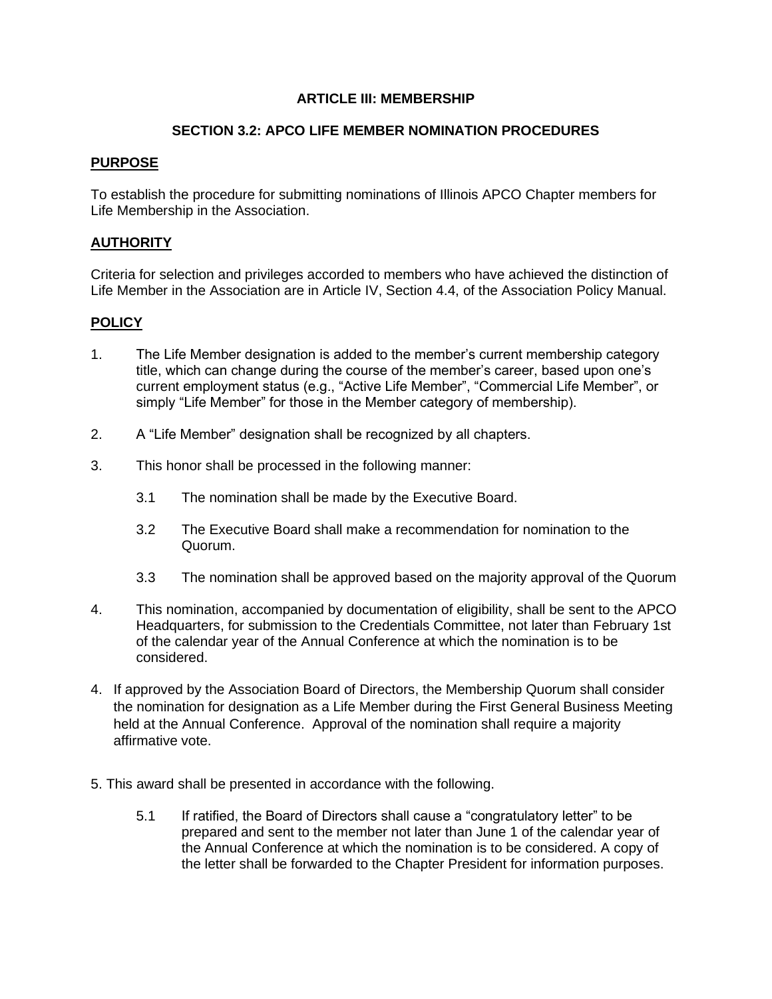## **SECTION 3.2: APCO LIFE MEMBER NOMINATION PROCEDURES**

#### **PURPOSE**

To establish the procedure for submitting nominations of Illinois APCO Chapter members for Life Membership in the Association.

## **AUTHORITY**

Criteria for selection and privileges accorded to members who have achieved the distinction of Life Member in the Association are in Article IV, Section 4.4, of the Association Policy Manual.

- 1. The Life Member designation is added to the member's current membership category title, which can change during the course of the member's career, based upon one's current employment status (e.g., "Active Life Member", "Commercial Life Member", or simply "Life Member" for those in the Member category of membership).
- 2. A "Life Member" designation shall be recognized by all chapters.
- 3. This honor shall be processed in the following manner:
	- 3.1 The nomination shall be made by the Executive Board.
	- 3.2 The Executive Board shall make a recommendation for nomination to the Quorum.
	- 3.3 The nomination shall be approved based on the majority approval of the Quorum
- 4. This nomination, accompanied by documentation of eligibility, shall be sent to the APCO Headquarters, for submission to the Credentials Committee, not later than February 1st of the calendar year of the Annual Conference at which the nomination is to be considered.
- 4. If approved by the Association Board of Directors, the Membership Quorum shall consider the nomination for designation as a Life Member during the First General Business Meeting held at the Annual Conference. Approval of the nomination shall require a majority affirmative vote.
- 5. This award shall be presented in accordance with the following.
	- 5.1 If ratified, the Board of Directors shall cause a "congratulatory letter" to be prepared and sent to the member not later than June 1 of the calendar year of the Annual Conference at which the nomination is to be considered. A copy of the letter shall be forwarded to the Chapter President for information purposes.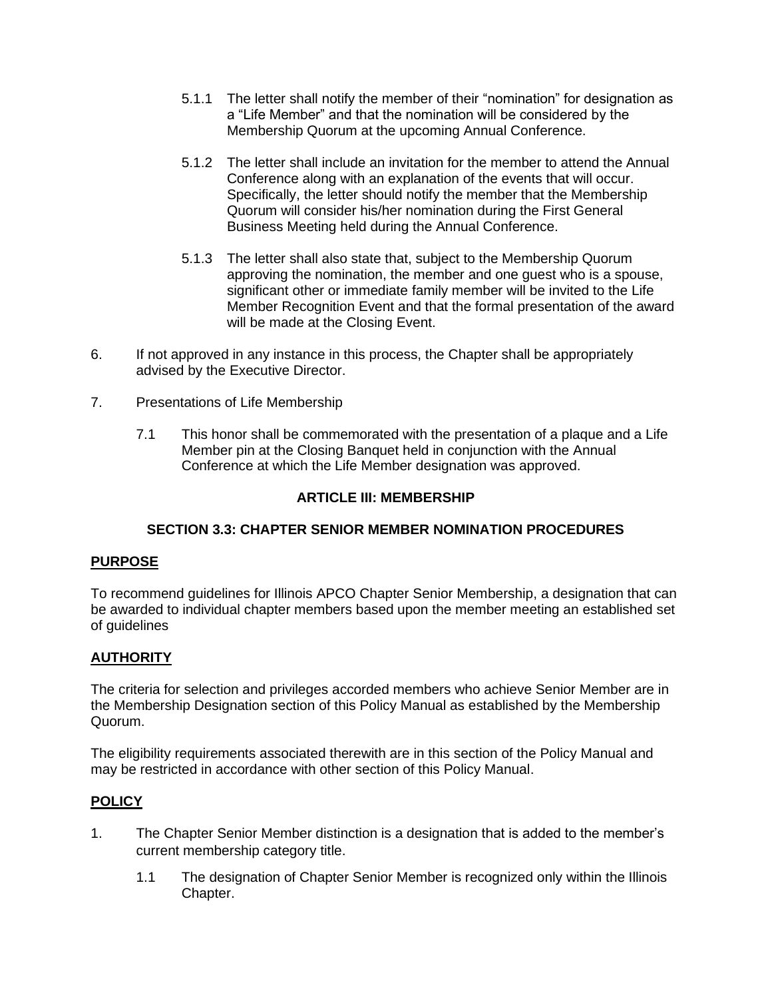- 5.1.1 The letter shall notify the member of their "nomination" for designation as a "Life Member" and that the nomination will be considered by the Membership Quorum at the upcoming Annual Conference.
- 5.1.2 The letter shall include an invitation for the member to attend the Annual Conference along with an explanation of the events that will occur. Specifically, the letter should notify the member that the Membership Quorum will consider his/her nomination during the First General Business Meeting held during the Annual Conference.
- 5.1.3 The letter shall also state that, subject to the Membership Quorum approving the nomination, the member and one guest who is a spouse, significant other or immediate family member will be invited to the Life Member Recognition Event and that the formal presentation of the award will be made at the Closing Event.
- 6. If not approved in any instance in this process, the Chapter shall be appropriately advised by the Executive Director.
- 7. Presentations of Life Membership
	- 7.1 This honor shall be commemorated with the presentation of a plaque and a Life Member pin at the Closing Banquet held in conjunction with the Annual Conference at which the Life Member designation was approved.

#### **SECTION 3.3: CHAPTER SENIOR MEMBER NOMINATION PROCEDURES**

#### **PURPOSE**

To recommend guidelines for Illinois APCO Chapter Senior Membership, a designation that can be awarded to individual chapter members based upon the member meeting an established set of guidelines

# **AUTHORITY**

The criteria for selection and privileges accorded members who achieve Senior Member are in the Membership Designation section of this Policy Manual as established by the Membership Quorum.

The eligibility requirements associated therewith are in this section of the Policy Manual and may be restricted in accordance with other section of this Policy Manual.

- 1. The Chapter Senior Member distinction is a designation that is added to the member's current membership category title.
	- 1.1 The designation of Chapter Senior Member is recognized only within the Illinois Chapter.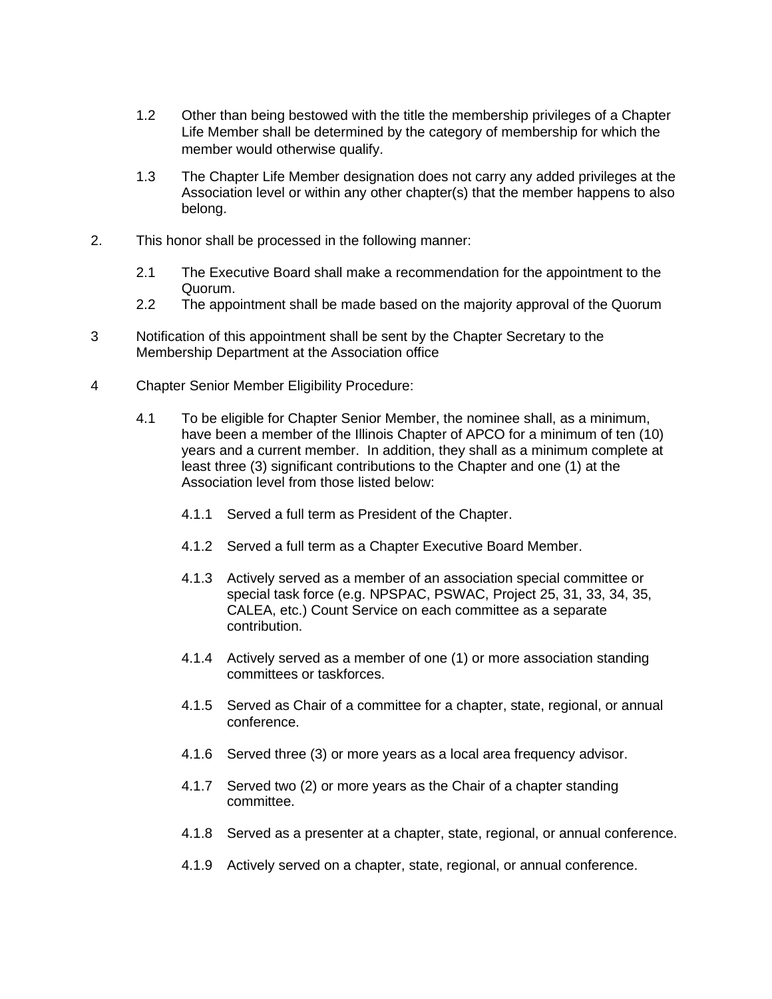- 1.2 Other than being bestowed with the title the membership privileges of a Chapter Life Member shall be determined by the category of membership for which the member would otherwise qualify.
- 1.3 The Chapter Life Member designation does not carry any added privileges at the Association level or within any other chapter(s) that the member happens to also belong.
- 2. This honor shall be processed in the following manner:
	- 2.1 The Executive Board shall make a recommendation for the appointment to the Quorum.
	- 2.2 The appointment shall be made based on the majority approval of the Quorum
- 3 Notification of this appointment shall be sent by the Chapter Secretary to the Membership Department at the Association office
- 4 Chapter Senior Member Eligibility Procedure:
	- 4.1 To be eligible for Chapter Senior Member, the nominee shall, as a minimum, have been a member of the Illinois Chapter of APCO for a minimum of ten (10) years and a current member. In addition, they shall as a minimum complete at least three (3) significant contributions to the Chapter and one (1) at the Association level from those listed below:
		- 4.1.1 Served a full term as President of the Chapter.
		- 4.1.2 Served a full term as a Chapter Executive Board Member.
		- 4.1.3 Actively served as a member of an association special committee or special task force (e.g. NPSPAC, PSWAC, Project 25, 31, 33, 34, 35, CALEA, etc.) Count Service on each committee as a separate contribution.
		- 4.1.4 Actively served as a member of one (1) or more association standing committees or taskforces.
		- 4.1.5 Served as Chair of a committee for a chapter, state, regional, or annual conference.
		- 4.1.6 Served three (3) or more years as a local area frequency advisor.
		- 4.1.7 Served two (2) or more years as the Chair of a chapter standing committee.
		- 4.1.8 Served as a presenter at a chapter, state, regional, or annual conference.
		- 4.1.9 Actively served on a chapter, state, regional, or annual conference.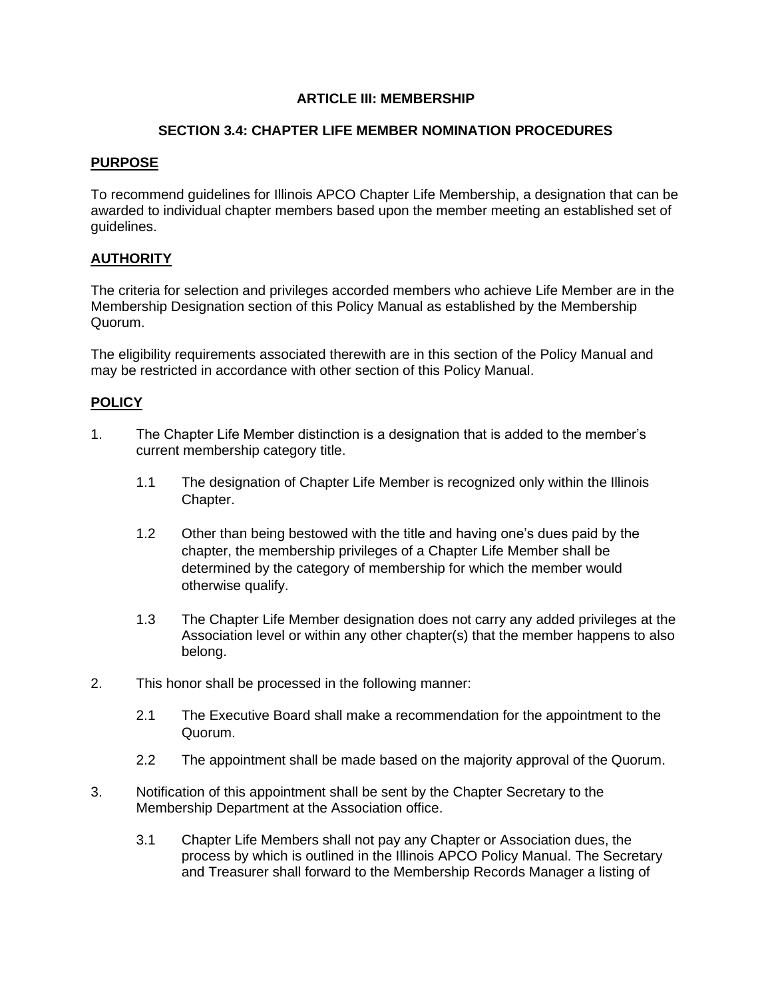#### **SECTION 3.4: CHAPTER LIFE MEMBER NOMINATION PROCEDURES**

## **PURPOSE**

To recommend guidelines for Illinois APCO Chapter Life Membership, a designation that can be awarded to individual chapter members based upon the member meeting an established set of guidelines.

# **AUTHORITY**

The criteria for selection and privileges accorded members who achieve Life Member are in the Membership Designation section of this Policy Manual as established by the Membership Quorum.

The eligibility requirements associated therewith are in this section of the Policy Manual and may be restricted in accordance with other section of this Policy Manual.

- 1. The Chapter Life Member distinction is a designation that is added to the member's current membership category title.
	- 1.1 The designation of Chapter Life Member is recognized only within the Illinois Chapter.
	- 1.2 Other than being bestowed with the title and having one's dues paid by the chapter, the membership privileges of a Chapter Life Member shall be determined by the category of membership for which the member would otherwise qualify.
	- 1.3 The Chapter Life Member designation does not carry any added privileges at the Association level or within any other chapter(s) that the member happens to also belong.
- 2. This honor shall be processed in the following manner:
	- 2.1 The Executive Board shall make a recommendation for the appointment to the Quorum.
	- 2.2 The appointment shall be made based on the majority approval of the Quorum.
- 3. Notification of this appointment shall be sent by the Chapter Secretary to the Membership Department at the Association office.
	- 3.1 Chapter Life Members shall not pay any Chapter or Association dues, the process by which is outlined in the Illinois APCO Policy Manual. The Secretary and Treasurer shall forward to the Membership Records Manager a listing of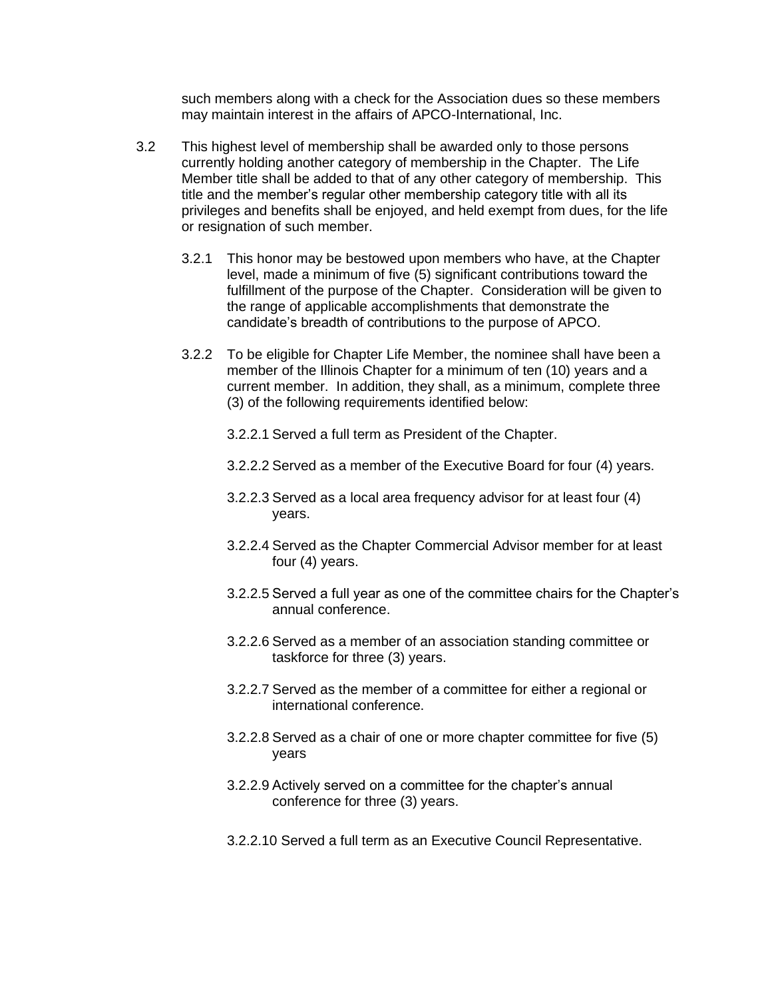such members along with a check for the Association dues so these members may maintain interest in the affairs of APCO-International, Inc.

- 3.2 This highest level of membership shall be awarded only to those persons currently holding another category of membership in the Chapter. The Life Member title shall be added to that of any other category of membership. This title and the member's regular other membership category title with all its privileges and benefits shall be enjoyed, and held exempt from dues, for the life or resignation of such member.
	- 3.2.1 This honor may be bestowed upon members who have, at the Chapter level, made a minimum of five (5) significant contributions toward the fulfillment of the purpose of the Chapter. Consideration will be given to the range of applicable accomplishments that demonstrate the candidate's breadth of contributions to the purpose of APCO.
	- 3.2.2 To be eligible for Chapter Life Member, the nominee shall have been a member of the Illinois Chapter for a minimum of ten (10) years and a current member. In addition, they shall, as a minimum, complete three (3) of the following requirements identified below:
		- 3.2.2.1 Served a full term as President of the Chapter.
		- 3.2.2.2 Served as a member of the Executive Board for four (4) years.
		- 3.2.2.3 Served as a local area frequency advisor for at least four (4) years.
		- 3.2.2.4 Served as the Chapter Commercial Advisor member for at least four (4) years.
		- 3.2.2.5 Served a full year as one of the committee chairs for the Chapter's annual conference.
		- 3.2.2.6 Served as a member of an association standing committee or taskforce for three (3) years.
		- 3.2.2.7 Served as the member of a committee for either a regional or international conference.
		- 3.2.2.8 Served as a chair of one or more chapter committee for five (5) years
		- 3.2.2.9 Actively served on a committee for the chapter's annual conference for three (3) years.
		- 3.2.2.10 Served a full term as an Executive Council Representative.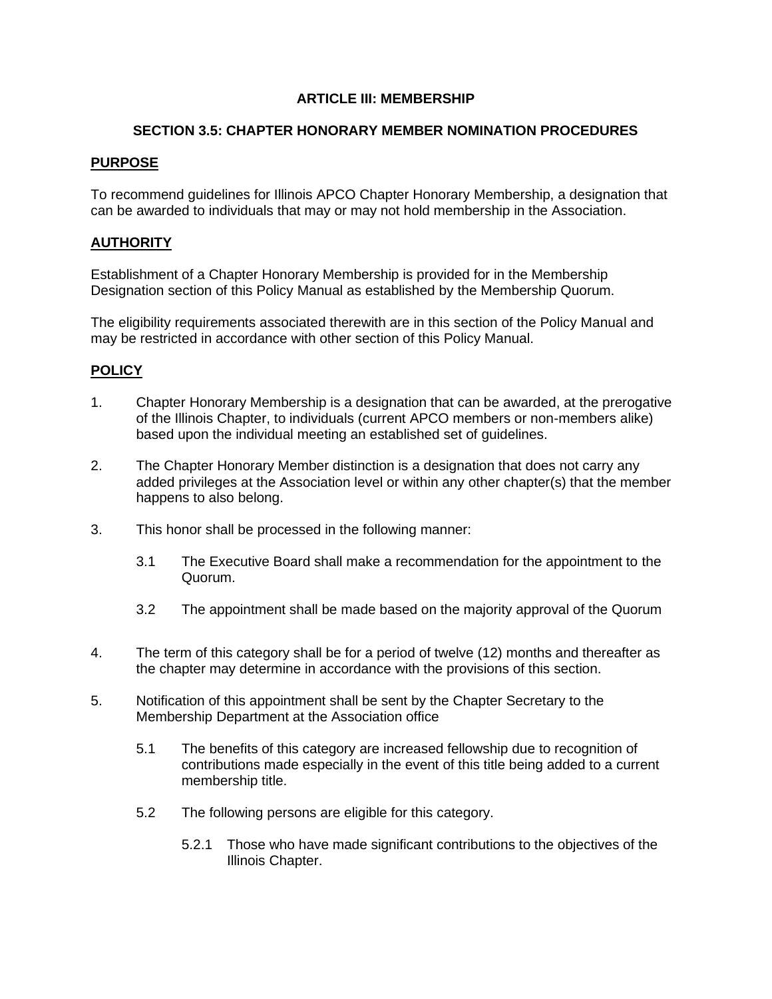#### **SECTION 3.5: CHAPTER HONORARY MEMBER NOMINATION PROCEDURES**

#### **PURPOSE**

To recommend guidelines for Illinois APCO Chapter Honorary Membership, a designation that can be awarded to individuals that may or may not hold membership in the Association.

# **AUTHORITY**

Establishment of a Chapter Honorary Membership is provided for in the Membership Designation section of this Policy Manual as established by the Membership Quorum.

The eligibility requirements associated therewith are in this section of the Policy Manual and may be restricted in accordance with other section of this Policy Manual.

- 1. Chapter Honorary Membership is a designation that can be awarded, at the prerogative of the Illinois Chapter, to individuals (current APCO members or non-members alike) based upon the individual meeting an established set of guidelines.
- 2. The Chapter Honorary Member distinction is a designation that does not carry any added privileges at the Association level or within any other chapter(s) that the member happens to also belong.
- 3. This honor shall be processed in the following manner:
	- 3.1 The Executive Board shall make a recommendation for the appointment to the Quorum.
	- 3.2 The appointment shall be made based on the majority approval of the Quorum
- 4. The term of this category shall be for a period of twelve (12) months and thereafter as the chapter may determine in accordance with the provisions of this section.
- 5. Notification of this appointment shall be sent by the Chapter Secretary to the Membership Department at the Association office
	- 5.1 The benefits of this category are increased fellowship due to recognition of contributions made especially in the event of this title being added to a current membership title.
	- 5.2 The following persons are eligible for this category.
		- 5.2.1 Those who have made significant contributions to the objectives of the Illinois Chapter.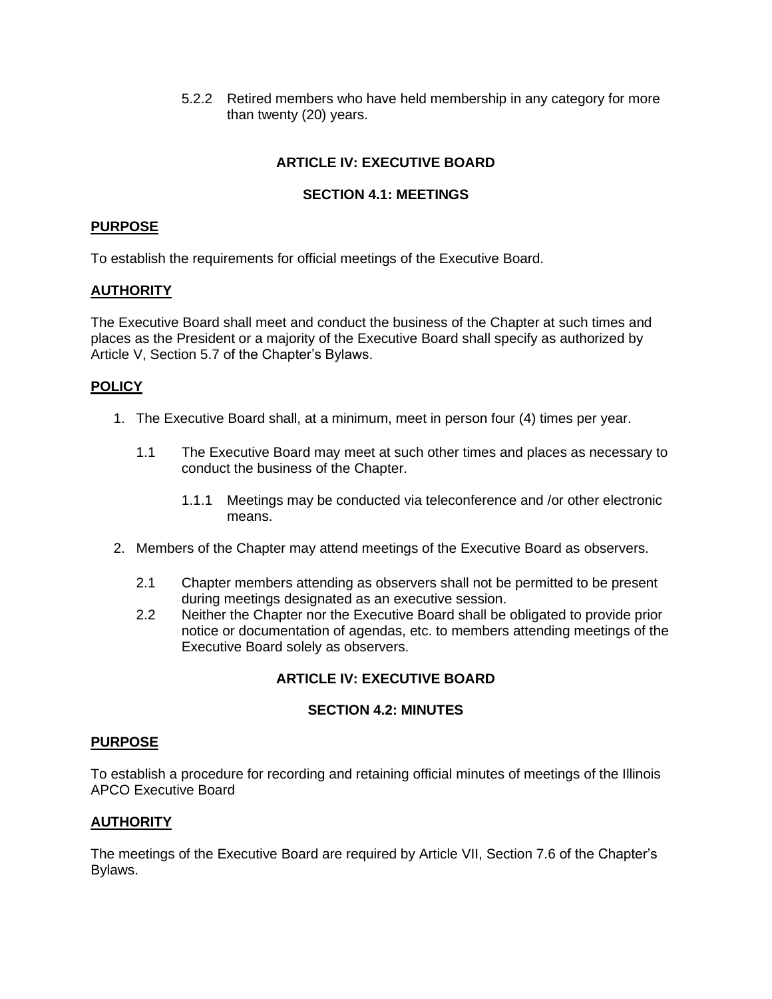5.2.2 Retired members who have held membership in any category for more than twenty (20) years.

## **ARTICLE IV: EXECUTIVE BOARD**

#### **SECTION 4.1: MEETINGS**

#### **PURPOSE**

To establish the requirements for official meetings of the Executive Board.

#### **AUTHORITY**

The Executive Board shall meet and conduct the business of the Chapter at such times and places as the President or a majority of the Executive Board shall specify as authorized by Article V, Section 5.7 of the Chapter's Bylaws.

#### **POLICY**

- 1. The Executive Board shall, at a minimum, meet in person four (4) times per year.
	- 1.1 The Executive Board may meet at such other times and places as necessary to conduct the business of the Chapter.
		- 1.1.1 Meetings may be conducted via teleconference and /or other electronic means.
- 2. Members of the Chapter may attend meetings of the Executive Board as observers.
	- 2.1 Chapter members attending as observers shall not be permitted to be present during meetings designated as an executive session.
	- 2.2 Neither the Chapter nor the Executive Board shall be obligated to provide prior notice or documentation of agendas, etc. to members attending meetings of the Executive Board solely as observers.

#### **ARTICLE IV: EXECUTIVE BOARD**

#### **SECTION 4.2: MINUTES**

#### **PURPOSE**

To establish a procedure for recording and retaining official minutes of meetings of the Illinois APCO Executive Board

#### **AUTHORITY**

The meetings of the Executive Board are required by Article VII, Section 7.6 of the Chapter's Bylaws.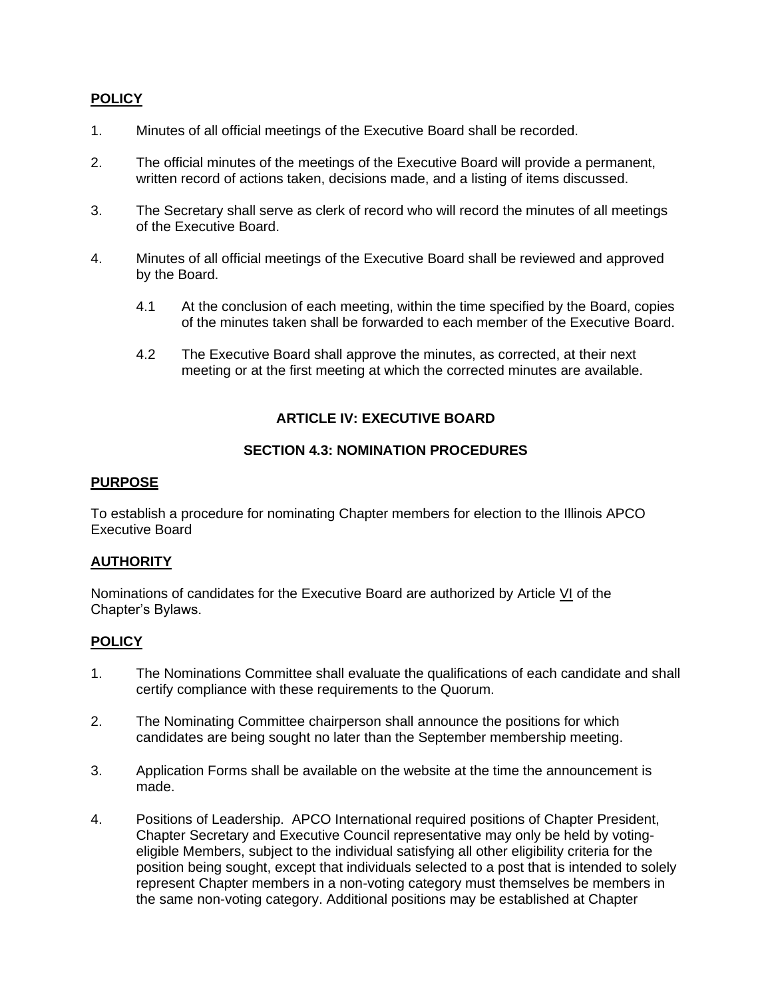#### **POLICY**

- 1. Minutes of all official meetings of the Executive Board shall be recorded.
- 2. The official minutes of the meetings of the Executive Board will provide a permanent, written record of actions taken, decisions made, and a listing of items discussed.
- 3. The Secretary shall serve as clerk of record who will record the minutes of all meetings of the Executive Board.
- 4. Minutes of all official meetings of the Executive Board shall be reviewed and approved by the Board.
	- 4.1 At the conclusion of each meeting, within the time specified by the Board, copies of the minutes taken shall be forwarded to each member of the Executive Board.
	- 4.2 The Executive Board shall approve the minutes, as corrected, at their next meeting or at the first meeting at which the corrected minutes are available.

#### **ARTICLE IV: EXECUTIVE BOARD**

#### **SECTION 4.3: NOMINATION PROCEDURES**

#### **PURPOSE**

To establish a procedure for nominating Chapter members for election to the Illinois APCO Executive Board

#### **AUTHORITY**

Nominations of candidates for the Executive Board are authorized by Article VI of the Chapter's Bylaws.

- 1. The Nominations Committee shall evaluate the qualifications of each candidate and shall certify compliance with these requirements to the Quorum.
- 2. The Nominating Committee chairperson shall announce the positions for which candidates are being sought no later than the September membership meeting.
- 3. Application Forms shall be available on the website at the time the announcement is made.
- 4. Positions of Leadership. APCO International required positions of Chapter President, Chapter Secretary and Executive Council representative may only be held by votingeligible Members, subject to the individual satisfying all other eligibility criteria for the position being sought, except that individuals selected to a post that is intended to solely represent Chapter members in a non-voting category must themselves be members in the same non-voting category. Additional positions may be established at Chapter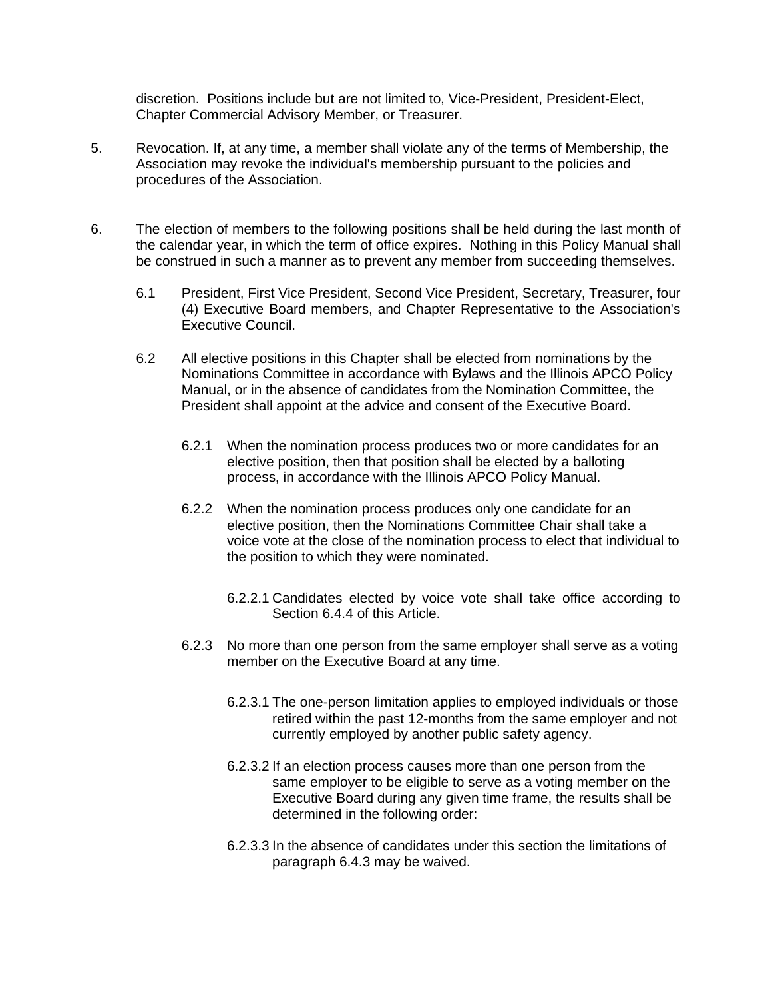discretion. Positions include but are not limited to, Vice-President, President-Elect, Chapter Commercial Advisory Member, or Treasurer.

- 5. Revocation. If, at any time, a member shall violate any of the terms of Membership, the Association may revoke the individual's membership pursuant to the policies and procedures of the Association.
- 6. The election of members to the following positions shall be held during the last month of the calendar year, in which the term of office expires. Nothing in this Policy Manual shall be construed in such a manner as to prevent any member from succeeding themselves.
	- 6.1 President, First Vice President, Second Vice President, Secretary, Treasurer, four (4) Executive Board members, and Chapter Representative to the Association's Executive Council.
	- 6.2 All elective positions in this Chapter shall be elected from nominations by the Nominations Committee in accordance with Bylaws and the Illinois APCO Policy Manual, or in the absence of candidates from the Nomination Committee, the President shall appoint at the advice and consent of the Executive Board.
		- 6.2.1 When the nomination process produces two or more candidates for an elective position, then that position shall be elected by a balloting process, in accordance with the Illinois APCO Policy Manual.
		- 6.2.2 When the nomination process produces only one candidate for an elective position, then the Nominations Committee Chair shall take a voice vote at the close of the nomination process to elect that individual to the position to which they were nominated.
			- 6.2.2.1 Candidates elected by voice vote shall take office according to Section 6.4.4 of this Article.
		- 6.2.3 No more than one person from the same employer shall serve as a voting member on the Executive Board at any time.
			- 6.2.3.1 The one-person limitation applies to employed individuals or those retired within the past 12-months from the same employer and not currently employed by another public safety agency.
			- 6.2.3.2 If an election process causes more than one person from the same employer to be eligible to serve as a voting member on the Executive Board during any given time frame, the results shall be determined in the following order:
			- 6.2.3.3 In the absence of candidates under this section the limitations of paragraph 6.4.3 may be waived.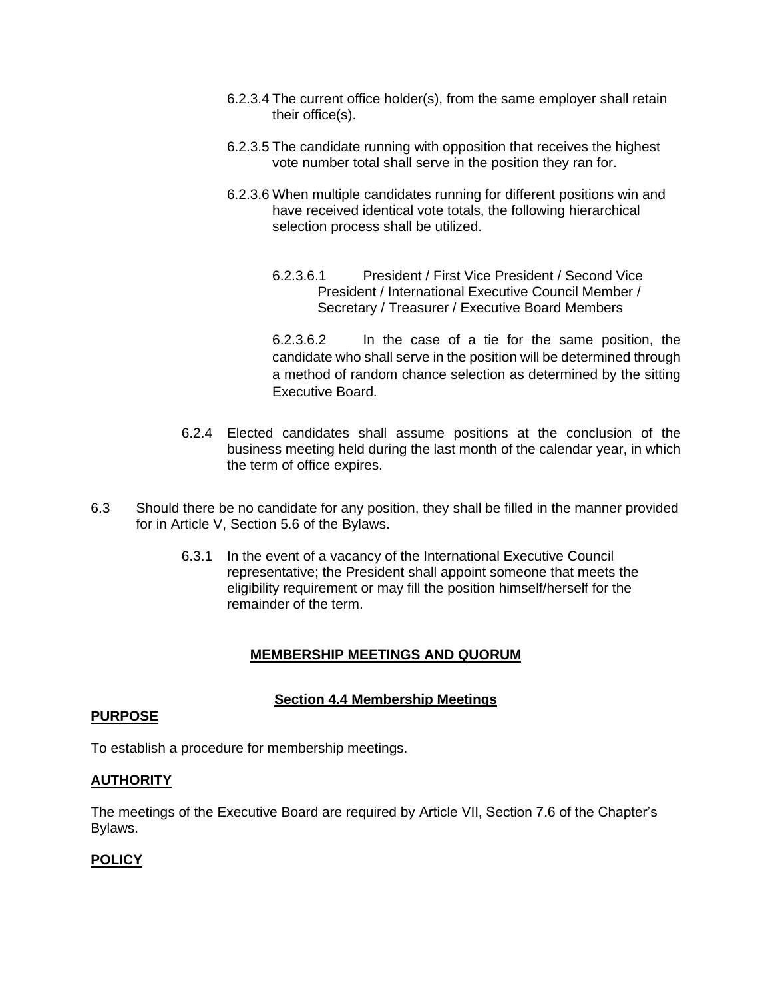- 6.2.3.4 The current office holder(s), from the same employer shall retain their office(s).
- 6.2.3.5 The candidate running with opposition that receives the highest vote number total shall serve in the position they ran for.
- 6.2.3.6 When multiple candidates running for different positions win and have received identical vote totals, the following hierarchical selection process shall be utilized.
	- 6.2.3.6.1 President / First Vice President / Second Vice President / International Executive Council Member / Secretary / Treasurer / Executive Board Members

6.2.3.6.2 In the case of a tie for the same position, the candidate who shall serve in the position will be determined through a method of random chance selection as determined by the sitting Executive Board.

- 6.2.4 Elected candidates shall assume positions at the conclusion of the business meeting held during the last month of the calendar year, in which the term of office expires.
- 6.3 Should there be no candidate for any position, they shall be filled in the manner provided for in Article V, Section 5.6 of the Bylaws.
	- 6.3.1 In the event of a vacancy of the International Executive Council representative; the President shall appoint someone that meets the eligibility requirement or may fill the position himself/herself for the remainder of the term.

#### **MEMBERSHIP MEETINGS AND QUORUM**

#### **Section 4.4 Membership Meetings**

#### **PURPOSE**

To establish a procedure for membership meetings.

#### **AUTHORITY**

The meetings of the Executive Board are required by Article VII, Section 7.6 of the Chapter's Bylaws.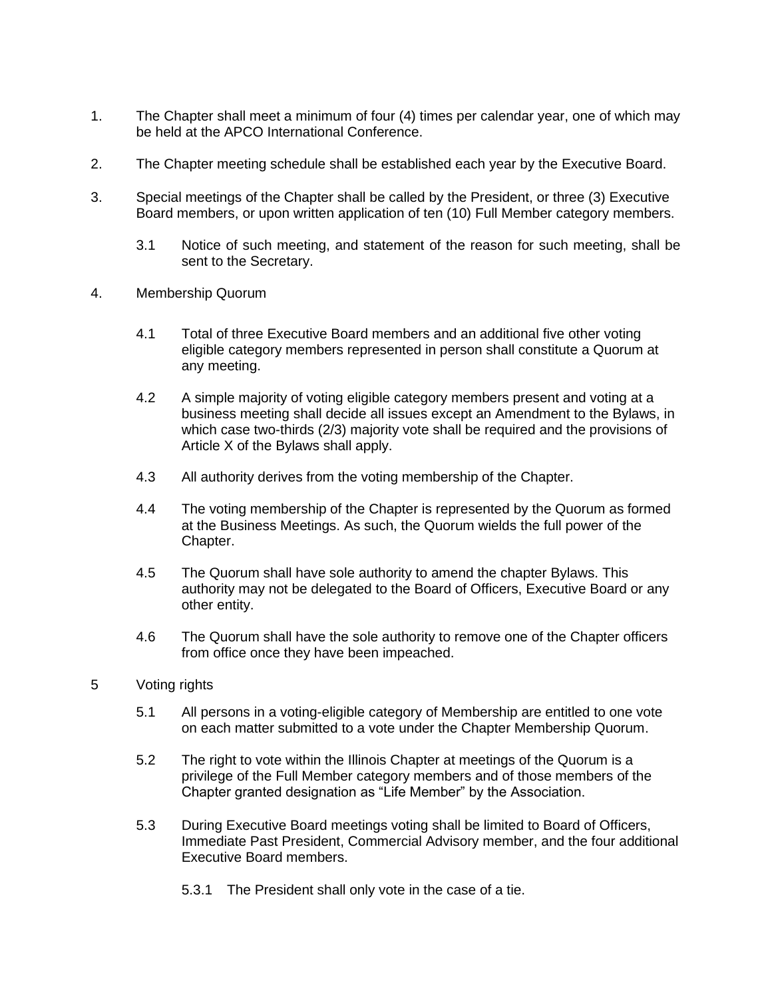- 1. The Chapter shall meet a minimum of four (4) times per calendar year, one of which may be held at the APCO International Conference.
- 2. The Chapter meeting schedule shall be established each year by the Executive Board.
- 3. Special meetings of the Chapter shall be called by the President, or three (3) Executive Board members, or upon written application of ten (10) Full Member category members.
	- 3.1 Notice of such meeting, and statement of the reason for such meeting, shall be sent to the Secretary.
- 4. Membership Quorum
	- 4.1 Total of three Executive Board members and an additional five other voting eligible category members represented in person shall constitute a Quorum at any meeting.
	- 4.2 A simple majority of voting eligible category members present and voting at a business meeting shall decide all issues except an Amendment to the Bylaws, in which case two-thirds (2/3) majority vote shall be required and the provisions of Article X of the Bylaws shall apply.
	- 4.3 All authority derives from the voting membership of the Chapter.
	- 4.4 The voting membership of the Chapter is represented by the Quorum as formed at the Business Meetings. As such, the Quorum wields the full power of the Chapter.
	- 4.5 The Quorum shall have sole authority to amend the chapter Bylaws. This authority may not be delegated to the Board of Officers, Executive Board or any other entity.
	- 4.6 The Quorum shall have the sole authority to remove one of the Chapter officers from office once they have been impeached.
- 5 Voting rights
	- 5.1 All persons in a voting-eligible category of Membership are entitled to one vote on each matter submitted to a vote under the Chapter Membership Quorum.
	- 5.2 The right to vote within the Illinois Chapter at meetings of the Quorum is a privilege of the Full Member category members and of those members of the Chapter granted designation as "Life Member" by the Association.
	- 5.3 During Executive Board meetings voting shall be limited to Board of Officers, Immediate Past President, Commercial Advisory member, and the four additional Executive Board members.
		- 5.3.1 The President shall only vote in the case of a tie.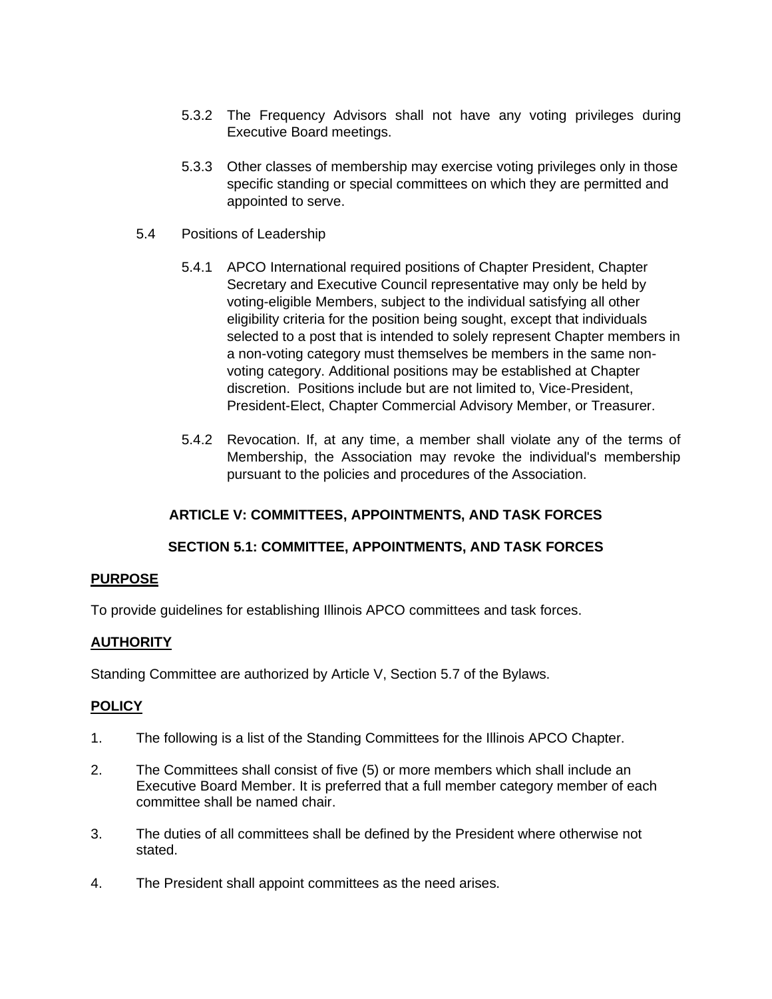- 5.3.2 The Frequency Advisors shall not have any voting privileges during Executive Board meetings.
- 5.3.3 Other classes of membership may exercise voting privileges only in those specific standing or special committees on which they are permitted and appointed to serve.
- 5.4 Positions of Leadership
	- 5.4.1 APCO International required positions of Chapter President, Chapter Secretary and Executive Council representative may only be held by voting-eligible Members, subject to the individual satisfying all other eligibility criteria for the position being sought, except that individuals selected to a post that is intended to solely represent Chapter members in a non-voting category must themselves be members in the same nonvoting category. Additional positions may be established at Chapter discretion. Positions include but are not limited to, Vice-President, President-Elect, Chapter Commercial Advisory Member, or Treasurer.
	- 5.4.2 Revocation. If, at any time, a member shall violate any of the terms of Membership, the Association may revoke the individual's membership pursuant to the policies and procedures of the Association.

#### **ARTICLE V: COMMITTEES, APPOINTMENTS, AND TASK FORCES**

#### **SECTION 5.1: COMMITTEE, APPOINTMENTS, AND TASK FORCES**

#### **PURPOSE**

To provide guidelines for establishing Illinois APCO committees and task forces.

#### **AUTHORITY**

Standing Committee are authorized by Article V, Section 5.7 of the Bylaws.

- 1. The following is a list of the Standing Committees for the Illinois APCO Chapter.
- 2. The Committees shall consist of five (5) or more members which shall include an Executive Board Member. It is preferred that a full member category member of each committee shall be named chair.
- 3. The duties of all committees shall be defined by the President where otherwise not stated.
- 4. The President shall appoint committees as the need arises.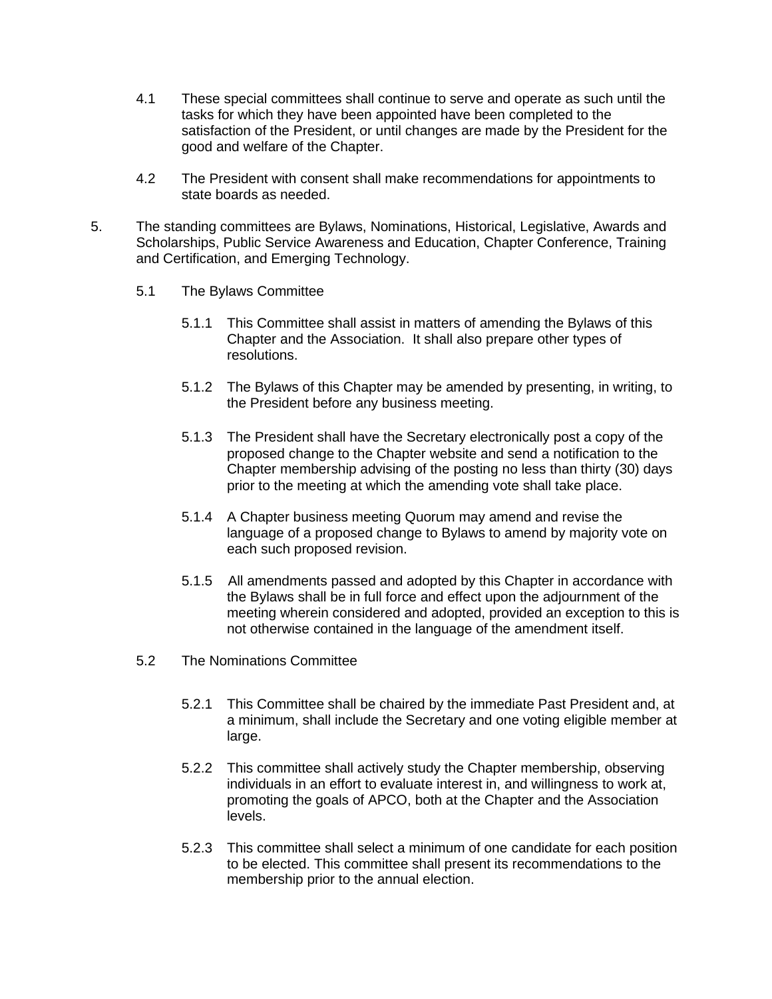- 4.1 These special committees shall continue to serve and operate as such until the tasks for which they have been appointed have been completed to the satisfaction of the President, or until changes are made by the President for the good and welfare of the Chapter.
- 4.2 The President with consent shall make recommendations for appointments to state boards as needed.
- 5. The standing committees are Bylaws, Nominations, Historical, Legislative, Awards and Scholarships, Public Service Awareness and Education, Chapter Conference, Training and Certification, and Emerging Technology.
	- 5.1 The Bylaws Committee
		- 5.1.1 This Committee shall assist in matters of amending the Bylaws of this Chapter and the Association. It shall also prepare other types of resolutions.
		- 5.1.2 The Bylaws of this Chapter may be amended by presenting, in writing, to the President before any business meeting.
		- 5.1.3 The President shall have the Secretary electronically post a copy of the proposed change to the Chapter website and send a notification to the Chapter membership advising of the posting no less than thirty (30) days prior to the meeting at which the amending vote shall take place.
		- 5.1.4 A Chapter business meeting Quorum may amend and revise the language of a proposed change to Bylaws to amend by majority vote on each such proposed revision.
		- 5.1.5 All amendments passed and adopted by this Chapter in accordance with the Bylaws shall be in full force and effect upon the adjournment of the meeting wherein considered and adopted, provided an exception to this is not otherwise contained in the language of the amendment itself.
	- 5.2 The Nominations Committee
		- 5.2.1 This Committee shall be chaired by the immediate Past President and, at a minimum, shall include the Secretary and one voting eligible member at large.
		- 5.2.2 This committee shall actively study the Chapter membership, observing individuals in an effort to evaluate interest in, and willingness to work at, promoting the goals of APCO, both at the Chapter and the Association levels.
		- 5.2.3 This committee shall select a minimum of one candidate for each position to be elected. This committee shall present its recommendations to the membership prior to the annual election.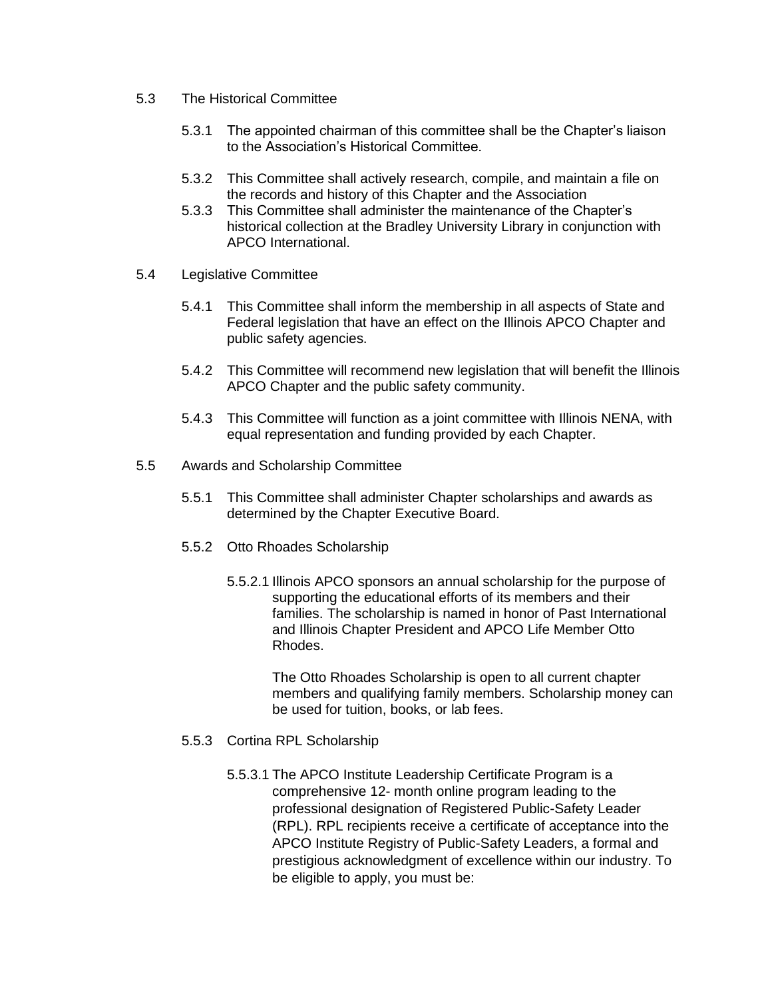- 5.3 The Historical Committee
	- 5.3.1 The appointed chairman of this committee shall be the Chapter's liaison to the Association's Historical Committee.
	- 5.3.2 This Committee shall actively research, compile, and maintain a file on the records and history of this Chapter and the Association
	- 5.3.3 This Committee shall administer the maintenance of the Chapter's historical collection at the Bradley University Library in conjunction with APCO International.
- 5.4 Legislative Committee
	- 5.4.1 This Committee shall inform the membership in all aspects of State and Federal legislation that have an effect on the Illinois APCO Chapter and public safety agencies.
	- 5.4.2 This Committee will recommend new legislation that will benefit the Illinois APCO Chapter and the public safety community.
	- 5.4.3 This Committee will function as a joint committee with Illinois NENA, with equal representation and funding provided by each Chapter.
- 5.5 Awards and Scholarship Committee
	- 5.5.1 This Committee shall administer Chapter scholarships and awards as determined by the Chapter Executive Board.
	- 5.5.2 Otto Rhoades Scholarship
		- 5.5.2.1 Illinois APCO sponsors an annual scholarship for the purpose of supporting the educational efforts of its members and their families. The scholarship is named in honor of Past International and Illinois Chapter President and APCO Life Member Otto Rhodes.

The Otto Rhoades Scholarship is open to all current chapter members and qualifying family members. Scholarship money can be used for tuition, books, or lab fees.

- 5.5.3 Cortina RPL Scholarship
	- 5.5.3.1 The APCO Institute Leadership Certificate Program is a comprehensive 12- month online program leading to the professional designation of Registered Public-Safety Leader (RPL). RPL recipients receive a certificate of acceptance into the APCO Institute Registry of Public-Safety Leaders, a formal and prestigious acknowledgment of excellence within our industry. To be eligible to apply, you must be: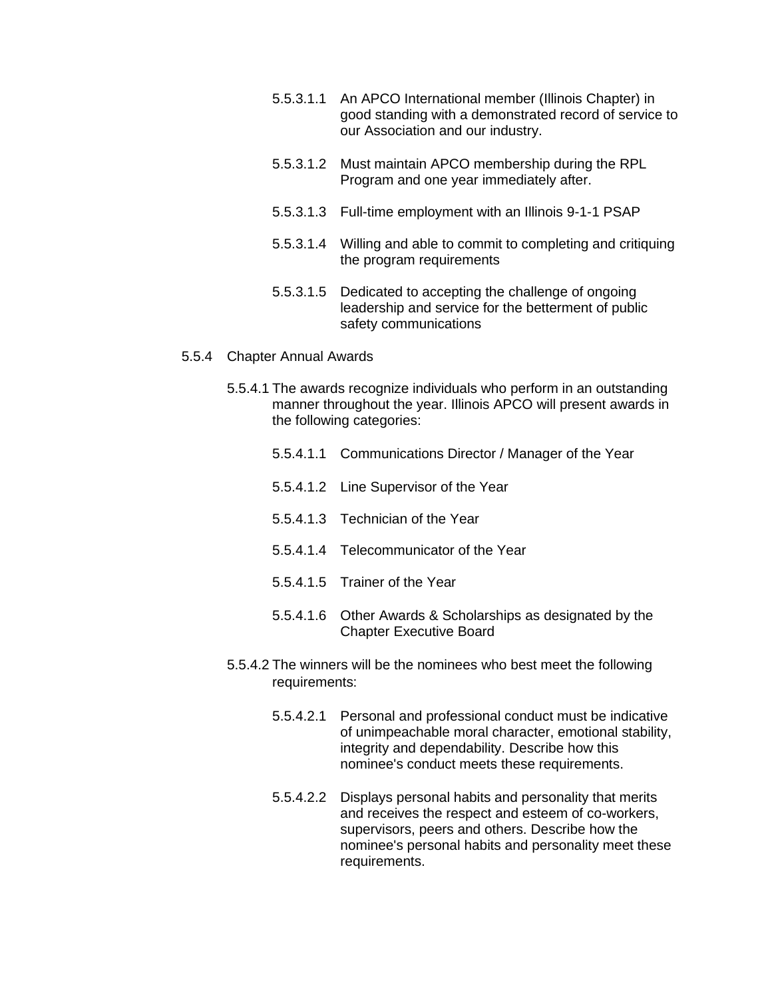- 5.5.3.1.1 An APCO International member (Illinois Chapter) in good standing with a demonstrated record of service to our Association and our industry.
- 5.5.3.1.2 Must maintain APCO membership during the RPL Program and one year immediately after.
- 5.5.3.1.3 Full-time employment with an Illinois 9-1-1 PSAP
- 5.5.3.1.4 Willing and able to commit to completing and critiquing the program requirements
- 5.5.3.1.5 Dedicated to accepting the challenge of ongoing leadership and service for the betterment of public safety communications
- 5.5.4 Chapter Annual Awards
	- 5.5.4.1 The awards recognize individuals who perform in an outstanding manner throughout the year. Illinois APCO will present awards in the following categories:
		- 5.5.4.1.1 Communications Director / Manager of the Year
		- 5.5.4.1.2 Line Supervisor of the Year
		- 5.5.4.1.3 Technician of the Year
		- 5.5.4.1.4 Telecommunicator of the Year
		- 5.5.4.1.5 Trainer of the Year
		- 5.5.4.1.6 Other Awards & Scholarships as designated by the Chapter Executive Board
	- 5.5.4.2 The winners will be the nominees who best meet the following requirements:
		- 5.5.4.2.1 Personal and professional conduct must be indicative of unimpeachable moral character, emotional stability, integrity and dependability. Describe how this nominee's conduct meets these requirements.
		- 5.5.4.2.2 Displays personal habits and personality that merits and receives the respect and esteem of co-workers, supervisors, peers and others. Describe how the nominee's personal habits and personality meet these requirements.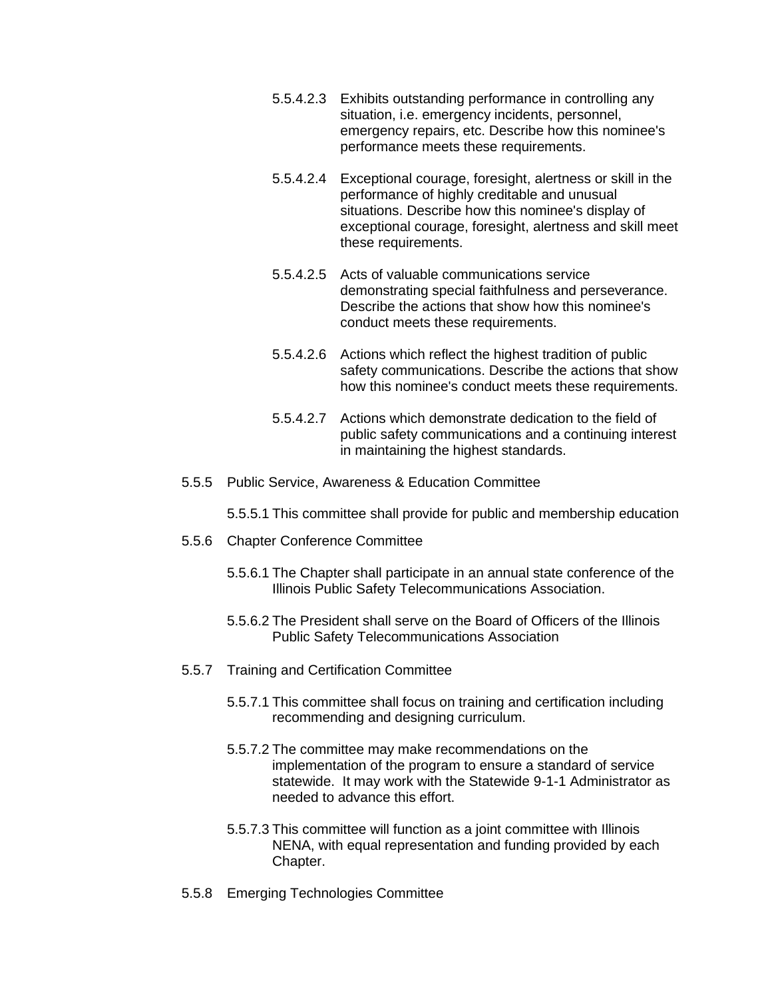- 5.5.4.2.3 Exhibits outstanding performance in controlling any situation, i.e. emergency incidents, personnel, emergency repairs, etc. Describe how this nominee's performance meets these requirements.
- 5.5.4.2.4 Exceptional courage, foresight, alertness or skill in the performance of highly creditable and unusual situations. Describe how this nominee's display of exceptional courage, foresight, alertness and skill meet these requirements.
- 5.5.4.2.5 Acts of valuable communications service demonstrating special faithfulness and perseverance. Describe the actions that show how this nominee's conduct meets these requirements.
- 5.5.4.2.6 Actions which reflect the highest tradition of public safety communications. Describe the actions that show how this nominee's conduct meets these requirements.
- 5.5.4.2.7 Actions which demonstrate dedication to the field of public safety communications and a continuing interest in maintaining the highest standards.
- 5.5.5 Public Service, Awareness & Education Committee

5.5.5.1 This committee shall provide for public and membership education

- 5.5.6 Chapter Conference Committee
	- 5.5.6.1 The Chapter shall participate in an annual state conference of the Illinois Public Safety Telecommunications Association.
	- 5.5.6.2 The President shall serve on the Board of Officers of the Illinois Public Safety Telecommunications Association
- 5.5.7 Training and Certification Committee
	- 5.5.7.1 This committee shall focus on training and certification including recommending and designing curriculum.
	- 5.5.7.2 The committee may make recommendations on the implementation of the program to ensure a standard of service statewide. It may work with the Statewide 9-1-1 Administrator as needed to advance this effort.
	- 5.5.7.3 This committee will function as a joint committee with Illinois NENA, with equal representation and funding provided by each Chapter.
- 5.5.8 Emerging Technologies Committee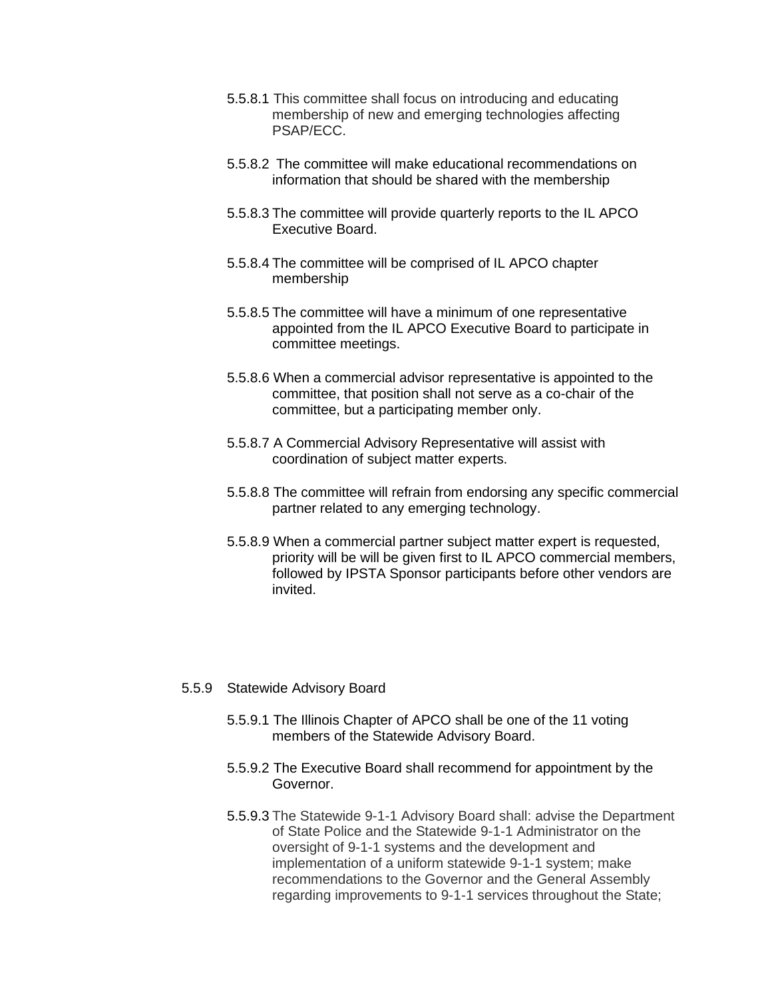- 5.5.8.1 This committee shall focus on introducing and educating membership of new and emerging technologies affecting PSAP/ECC.
- 5.5.8.2 The committee will make educational recommendations on information that should be shared with the membership
- 5.5.8.3 The committee will provide quarterly reports to the IL APCO Executive Board.
- 5.5.8.4 The committee will be comprised of IL APCO chapter membership
- 5.5.8.5 The committee will have a minimum of one representative appointed from the IL APCO Executive Board to participate in committee meetings.
- 5.5.8.6 When a commercial advisor representative is appointed to the committee, that position shall not serve as a co-chair of the committee, but a participating member only.
- 5.5.8.7 A Commercial Advisory Representative will assist with coordination of subject matter experts.
- 5.5.8.8 The committee will refrain from endorsing any specific commercial partner related to any emerging technology.
- 5.5.8.9 When a commercial partner subject matter expert is requested, priority will be will be given first to IL APCO commercial members, followed by IPSTA Sponsor participants before other vendors are invited.

#### 5.5.9 Statewide Advisory Board

- 5.5.9.1 The Illinois Chapter of APCO shall be one of the 11 voting members of the Statewide Advisory Board.
- 5.5.9.2 The Executive Board shall recommend for appointment by the Governor.
- 5.5.9.3 The Statewide 9-1-1 Advisory Board shall: advise the Department of State Police and the Statewide 9-1-1 Administrator on the oversight of 9-1-1 systems and the development and implementation of a uniform statewide 9-1-1 system; make recommendations to the Governor and the General Assembly regarding improvements to 9-1-1 services throughout the State;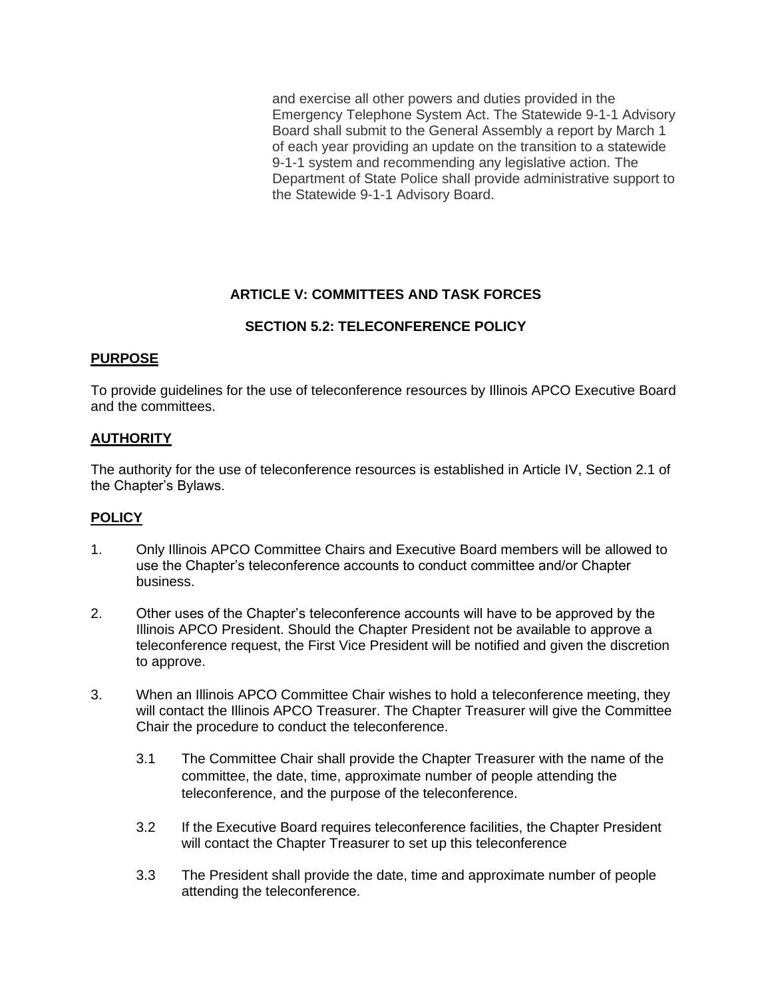and exercise all other powers and duties provided in the Emergency Telephone System Act. The Statewide 9-1-1 Advisory Board shall submit to the General Assembly a report by March 1 of each year providing an update on the transition to a statewide 9-1-1 system and recommending any legislative action. The Department of State Police shall provide administrative support to the Statewide 9-1-1 Advisory Board.

## **ARTICLE V: COMMITTEES AND TASK FORCES**

## **SECTION 5.2: TELECONFERENCE POLICY**

#### **PURPOSE**

To provide guidelines for the use of teleconference resources by Illinois APCO Executive Board and the committees.

## **AUTHORITY**

The authority for the use of teleconference resources is established in Article IV, Section 2.1 of the Chapter's Bylaws.

- 1. Only Illinois APCO Committee Chairs and Executive Board members will be allowed to use the Chapter's teleconference accounts to conduct committee and/or Chapter business.
- 2. Other uses of the Chapter's teleconference accounts will have to be approved by the Illinois APCO President. Should the Chapter President not be available to approve a teleconference request, the First Vice President will be notified and given the discretion to approve.
- 3. When an Illinois APCO Committee Chair wishes to hold a teleconference meeting, they will contact the Illinois APCO Treasurer. The Chapter Treasurer will give the Committee Chair the procedure to conduct the teleconference.
	- 3.1 The Committee Chair shall provide the Chapter Treasurer with the name of the committee, the date, time, approximate number of people attending the teleconference, and the purpose of the teleconference.
	- 3.2 If the Executive Board requires teleconference facilities, the Chapter President will contact the Chapter Treasurer to set up this teleconference
	- 3.3 The President shall provide the date, time and approximate number of people attending the teleconference.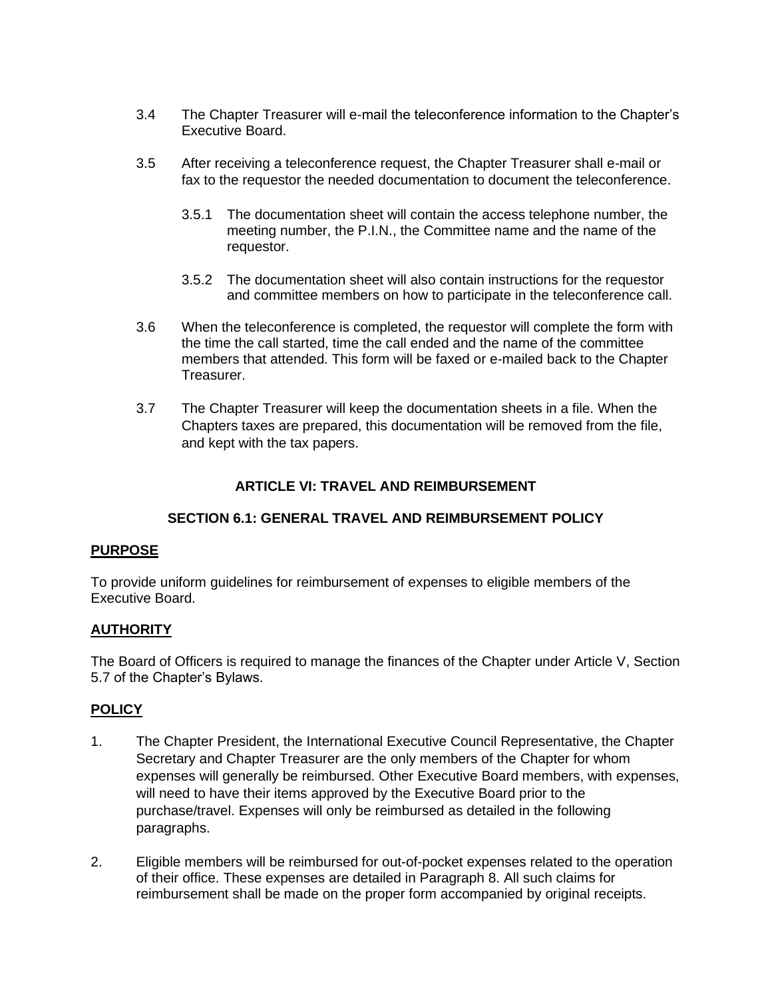- 3.4 The Chapter Treasurer will e-mail the teleconference information to the Chapter's Executive Board.
- 3.5 After receiving a teleconference request, the Chapter Treasurer shall e-mail or fax to the requestor the needed documentation to document the teleconference.
	- 3.5.1 The documentation sheet will contain the access telephone number, the meeting number, the P.I.N., the Committee name and the name of the requestor.
	- 3.5.2 The documentation sheet will also contain instructions for the requestor and committee members on how to participate in the teleconference call.
- 3.6 When the teleconference is completed, the requestor will complete the form with the time the call started, time the call ended and the name of the committee members that attended. This form will be faxed or e-mailed back to the Chapter Treasurer.
- 3.7 The Chapter Treasurer will keep the documentation sheets in a file. When the Chapters taxes are prepared, this documentation will be removed from the file, and kept with the tax papers.

## **ARTICLE VI: TRAVEL AND REIMBURSEMENT**

#### **SECTION 6.1: GENERAL TRAVEL AND REIMBURSEMENT POLICY**

#### **PURPOSE**

To provide uniform guidelines for reimbursement of expenses to eligible members of the Executive Board.

#### **AUTHORITY**

The Board of Officers is required to manage the finances of the Chapter under Article V, Section 5.7 of the Chapter's Bylaws.

- 1. The Chapter President, the International Executive Council Representative, the Chapter Secretary and Chapter Treasurer are the only members of the Chapter for whom expenses will generally be reimbursed. Other Executive Board members, with expenses, will need to have their items approved by the Executive Board prior to the purchase/travel. Expenses will only be reimbursed as detailed in the following paragraphs.
- 2. Eligible members will be reimbursed for out-of-pocket expenses related to the operation of their office. These expenses are detailed in Paragraph 8. All such claims for reimbursement shall be made on the proper form accompanied by original receipts.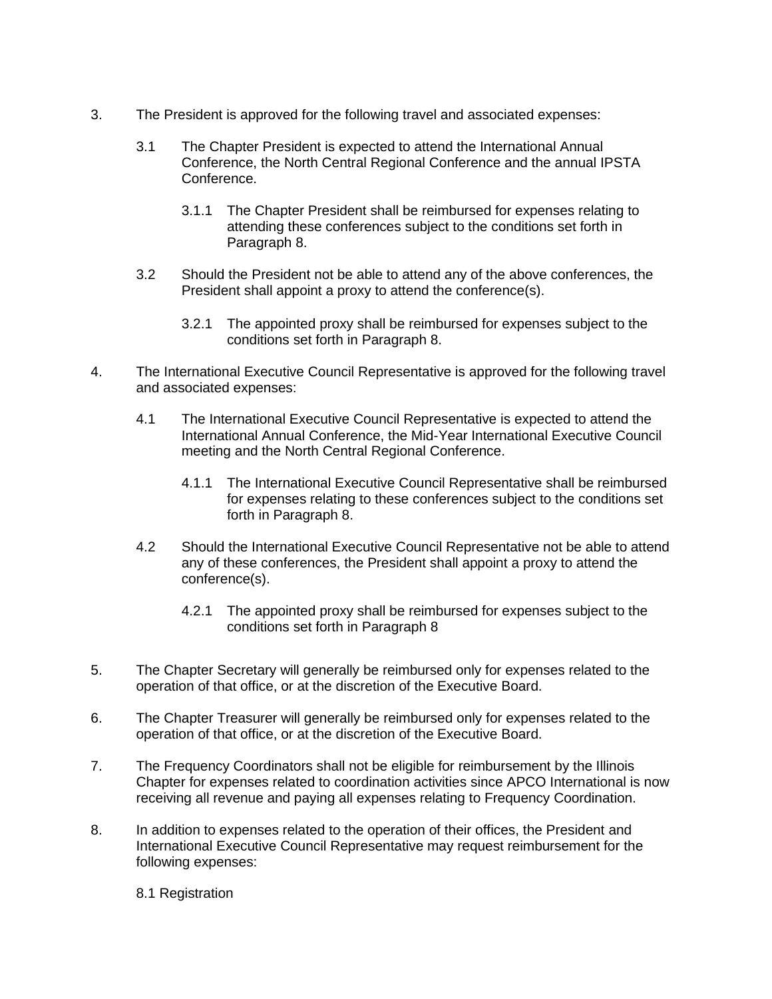- 3. The President is approved for the following travel and associated expenses:
	- 3.1 The Chapter President is expected to attend the International Annual Conference, the North Central Regional Conference and the annual IPSTA Conference.
		- 3.1.1 The Chapter President shall be reimbursed for expenses relating to attending these conferences subject to the conditions set forth in Paragraph 8.
	- 3.2 Should the President not be able to attend any of the above conferences, the President shall appoint a proxy to attend the conference(s).
		- 3.2.1 The appointed proxy shall be reimbursed for expenses subject to the conditions set forth in Paragraph 8.
- 4. The International Executive Council Representative is approved for the following travel and associated expenses:
	- 4.1 The International Executive Council Representative is expected to attend the International Annual Conference, the Mid-Year International Executive Council meeting and the North Central Regional Conference.
		- 4.1.1 The International Executive Council Representative shall be reimbursed for expenses relating to these conferences subject to the conditions set forth in Paragraph 8.
	- 4.2 Should the International Executive Council Representative not be able to attend any of these conferences, the President shall appoint a proxy to attend the conference(s).
		- 4.2.1 The appointed proxy shall be reimbursed for expenses subject to the conditions set forth in Paragraph 8
- 5. The Chapter Secretary will generally be reimbursed only for expenses related to the operation of that office, or at the discretion of the Executive Board.
- 6. The Chapter Treasurer will generally be reimbursed only for expenses related to the operation of that office, or at the discretion of the Executive Board.
- 7. The Frequency Coordinators shall not be eligible for reimbursement by the Illinois Chapter for expenses related to coordination activities since APCO International is now receiving all revenue and paying all expenses relating to Frequency Coordination.
- 8. In addition to expenses related to the operation of their offices, the President and International Executive Council Representative may request reimbursement for the following expenses:
	- 8.1 Registration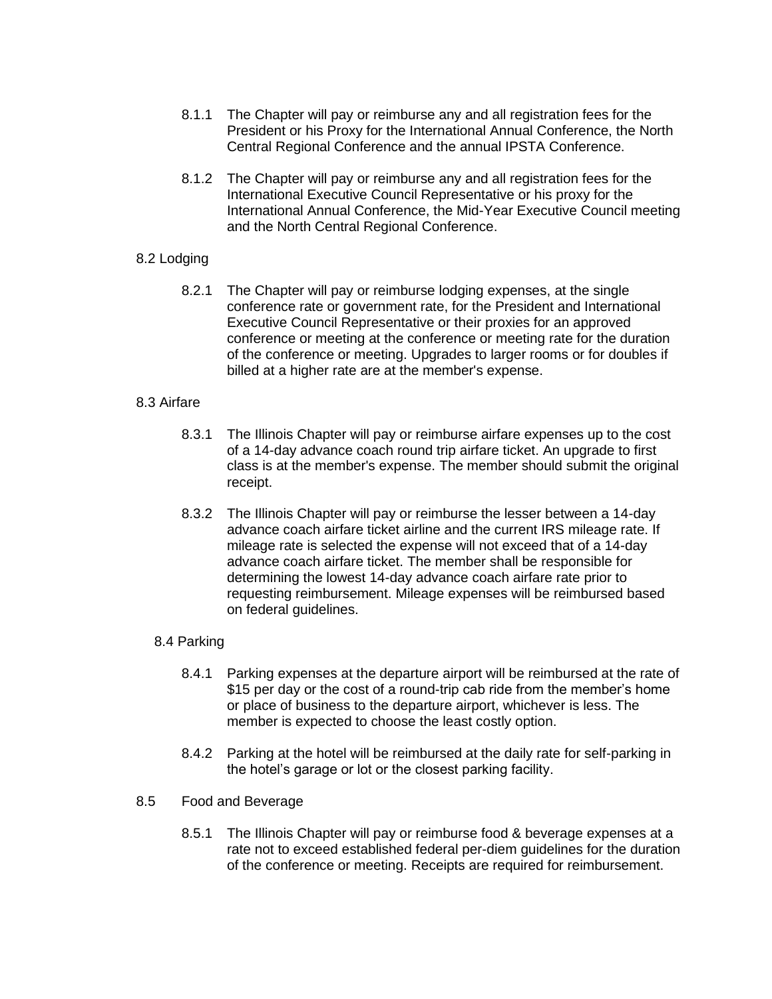- 8.1.1 The Chapter will pay or reimburse any and all registration fees for the President or his Proxy for the International Annual Conference, the North Central Regional Conference and the annual IPSTA Conference.
- 8.1.2 The Chapter will pay or reimburse any and all registration fees for the International Executive Council Representative or his proxy for the International Annual Conference, the Mid-Year Executive Council meeting and the North Central Regional Conference.

#### 8.2 Lodging

8.2.1 The Chapter will pay or reimburse lodging expenses, at the single conference rate or government rate, for the President and International Executive Council Representative or their proxies for an approved conference or meeting at the conference or meeting rate for the duration of the conference or meeting. Upgrades to larger rooms or for doubles if billed at a higher rate are at the member's expense.

#### 8.3 Airfare

- 8.3.1 The Illinois Chapter will pay or reimburse airfare expenses up to the cost of a 14-day advance coach round trip airfare ticket. An upgrade to first class is at the member's expense. The member should submit the original receipt.
- 8.3.2 The Illinois Chapter will pay or reimburse the lesser between a 14-day advance coach airfare ticket airline and the current IRS mileage rate. If mileage rate is selected the expense will not exceed that of a 14-day advance coach airfare ticket. The member shall be responsible for determining the lowest 14-day advance coach airfare rate prior to requesting reimbursement. Mileage expenses will be reimbursed based on federal guidelines.

#### 8.4 Parking

- 8.4.1 Parking expenses at the departure airport will be reimbursed at the rate of \$15 per day or the cost of a round-trip cab ride from the member's home or place of business to the departure airport, whichever is less. The member is expected to choose the least costly option.
- 8.4.2 Parking at the hotel will be reimbursed at the daily rate for self-parking in the hotel's garage or lot or the closest parking facility.
- 8.5 Food and Beverage
	- 8.5.1 The Illinois Chapter will pay or reimburse food & beverage expenses at a rate not to exceed established federal per-diem guidelines for the duration of the conference or meeting. Receipts are required for reimbursement.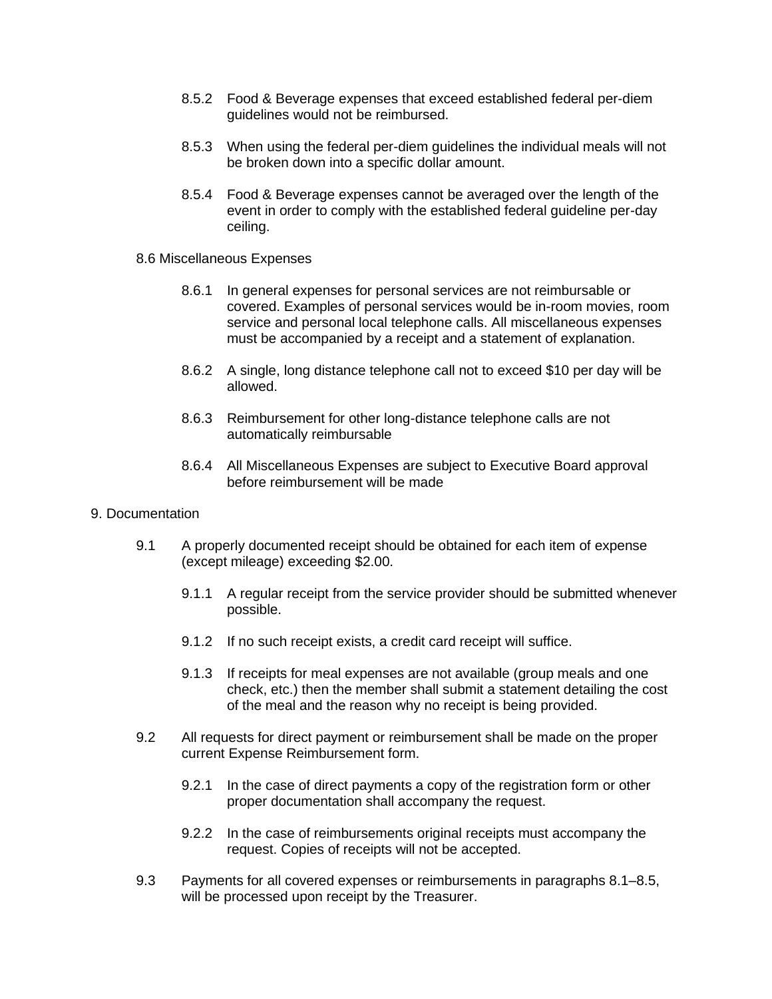- 8.5.2 Food & Beverage expenses that exceed established federal per-diem guidelines would not be reimbursed.
- 8.5.3 When using the federal per-diem guidelines the individual meals will not be broken down into a specific dollar amount.
- 8.5.4 Food & Beverage expenses cannot be averaged over the length of the event in order to comply with the established federal guideline per-day ceiling.
- 8.6 Miscellaneous Expenses
	- 8.6.1 In general expenses for personal services are not reimbursable or covered. Examples of personal services would be in-room movies, room service and personal local telephone calls. All miscellaneous expenses must be accompanied by a receipt and a statement of explanation.
	- 8.6.2 A single, long distance telephone call not to exceed \$10 per day will be allowed.
	- 8.6.3 Reimbursement for other long-distance telephone calls are not automatically reimbursable
	- 8.6.4 All Miscellaneous Expenses are subject to Executive Board approval before reimbursement will be made
- 9. Documentation
	- 9.1 A properly documented receipt should be obtained for each item of expense (except mileage) exceeding \$2.00.
		- 9.1.1 A regular receipt from the service provider should be submitted whenever possible.
		- 9.1.2 If no such receipt exists, a credit card receipt will suffice.
		- 9.1.3 If receipts for meal expenses are not available (group meals and one check, etc.) then the member shall submit a statement detailing the cost of the meal and the reason why no receipt is being provided.
	- 9.2 All requests for direct payment or reimbursement shall be made on the proper current Expense Reimbursement form.
		- 9.2.1 In the case of direct payments a copy of the registration form or other proper documentation shall accompany the request.
		- 9.2.2 In the case of reimbursements original receipts must accompany the request. Copies of receipts will not be accepted.
	- 9.3 Payments for all covered expenses or reimbursements in paragraphs 8.1–8.5, will be processed upon receipt by the Treasurer.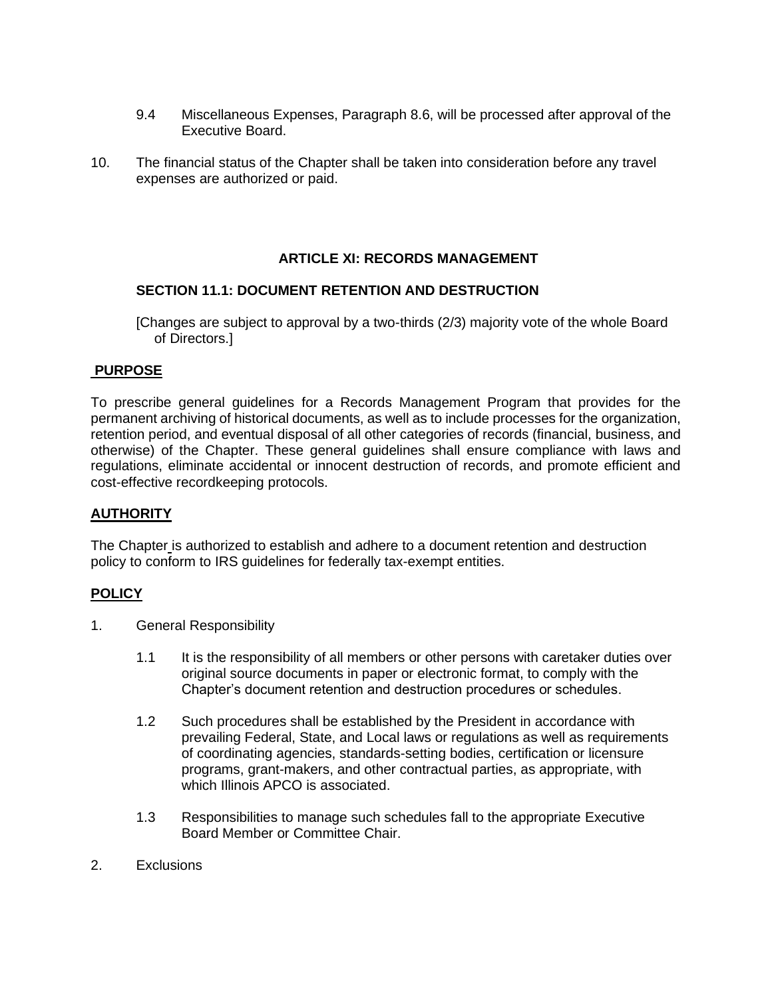- 9.4 Miscellaneous Expenses, Paragraph 8.6, will be processed after approval of the Executive Board.
- 10. The financial status of the Chapter shall be taken into consideration before any travel expenses are authorized or paid.

## **ARTICLE XI: RECORDS MANAGEMENT**

#### **SECTION 11.1: DOCUMENT RETENTION AND DESTRUCTION**

[Changes are subject to approval by a two-thirds (2/3) majority vote of the whole Board of Directors.]

#### **PURPOSE**

To prescribe general guidelines for a Records Management Program that provides for the permanent archiving of historical documents, as well as to include processes for the organization, retention period, and eventual disposal of all other categories of records (financial, business, and otherwise) of the Chapter. These general guidelines shall ensure compliance with laws and regulations, eliminate accidental or innocent destruction of records, and promote efficient and cost-effective recordkeeping protocols.

#### **AUTHORITY**

The Chapter is authorized to establish and adhere to a document retention and destruction policy to conform to IRS guidelines for federally tax-exempt entities.

- 1. General Responsibility
	- 1.1 It is the responsibility of all members or other persons with caretaker duties over original source documents in paper or electronic format, to comply with the Chapter's document retention and destruction procedures or schedules.
	- 1.2 Such procedures shall be established by the President in accordance with prevailing Federal, State, and Local laws or regulations as well as requirements of coordinating agencies, standards-setting bodies, certification or licensure programs, grant-makers, and other contractual parties, as appropriate, with which Illinois APCO is associated.
	- 1.3 Responsibilities to manage such schedules fall to the appropriate Executive Board Member or Committee Chair.
- 2. Exclusions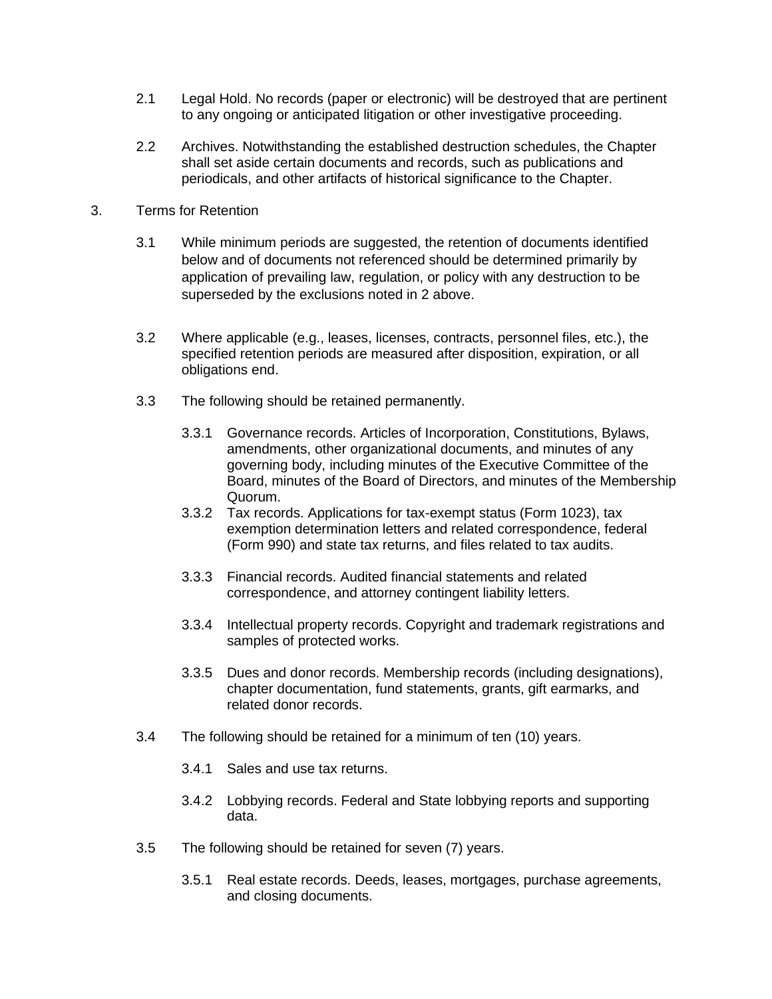- 2.1 Legal Hold. No records (paper or electronic) will be destroyed that are pertinent to any ongoing or anticipated litigation or other investigative proceeding.
- 2.2 Archives. Notwithstanding the established destruction schedules, the Chapter shall set aside certain documents and records, such as publications and periodicals, and other artifacts of historical significance to the Chapter.
- 3. Terms for Retention
	- 3.1 While minimum periods are suggested, the retention of documents identified below and of documents not referenced should be determined primarily by application of prevailing law, regulation, or policy with any destruction to be superseded by the exclusions noted in 2 above.
	- 3.2 Where applicable (e.g., leases, licenses, contracts, personnel files, etc.), the specified retention periods are measured after disposition, expiration, or all obligations end.
	- 3.3 The following should be retained permanently.
		- 3.3.1 Governance records. Articles of Incorporation, Constitutions, Bylaws, amendments, other organizational documents, and minutes of any governing body, including minutes of the Executive Committee of the Board, minutes of the Board of Directors, and minutes of the Membership Quorum.
		- 3.3.2 Tax records. Applications for tax-exempt status (Form 1023), tax exemption determination letters and related correspondence, federal (Form 990) and state tax returns, and files related to tax audits.
		- 3.3.3 Financial records. Audited financial statements and related correspondence, and attorney contingent liability letters.
		- 3.3.4 Intellectual property records. Copyright and trademark registrations and samples of protected works.
		- 3.3.5 Dues and donor records. Membership records (including designations), chapter documentation, fund statements, grants, gift earmarks, and related donor records.
	- 3.4 The following should be retained for a minimum of ten (10) years.
		- 3.4.1 Sales and use tax returns.
		- 3.4.2 Lobbying records. Federal and State lobbying reports and supporting data.
	- 3.5 The following should be retained for seven (7) years.
		- 3.5.1 Real estate records. Deeds, leases, mortgages, purchase agreements, and closing documents.